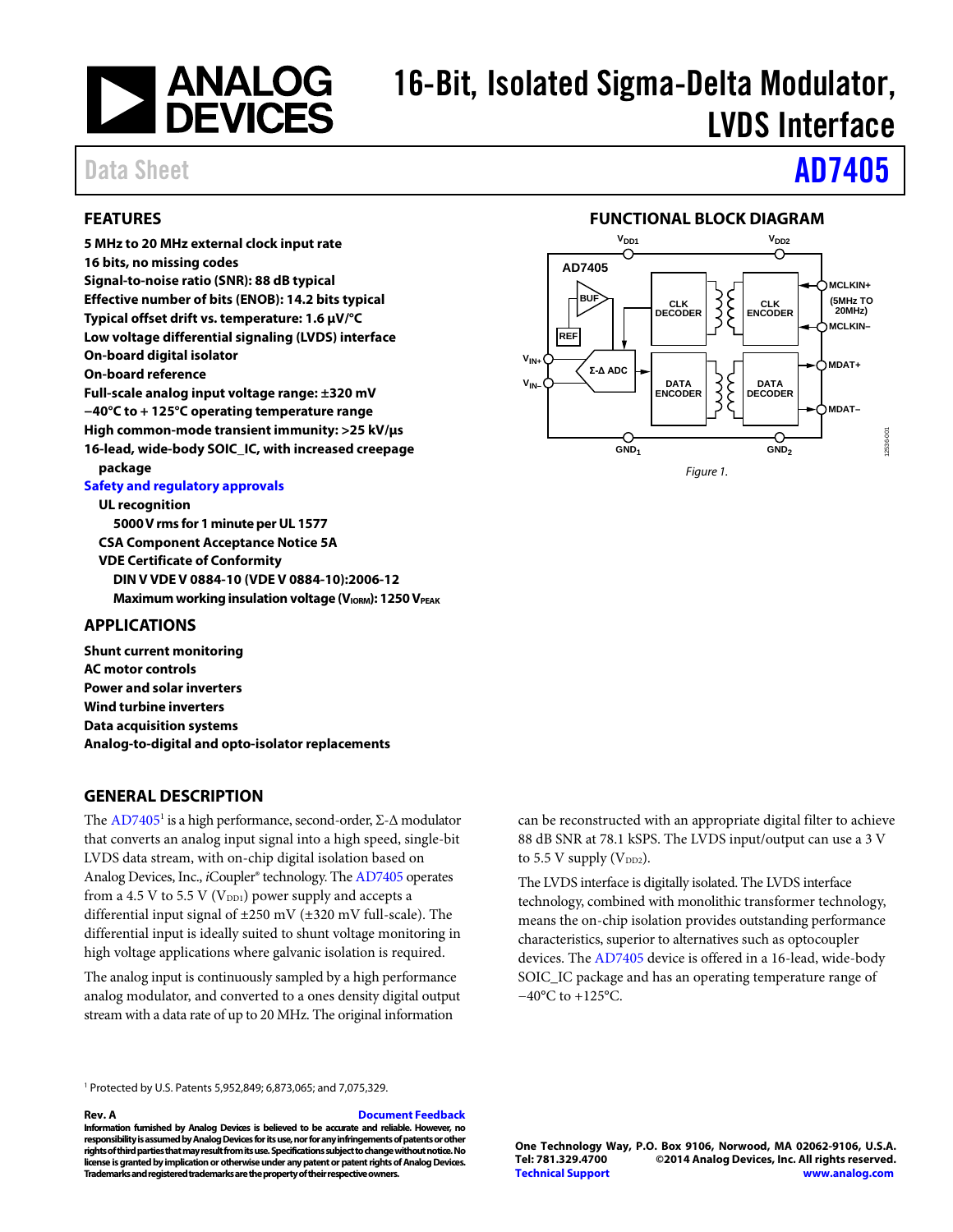

# 16-Bit, Isolated Sigma-Delta Modulator, LVDS Interface

# Data Sheet **[AD7405](http://www.analog.com/AD7405?doc=AD7405.pdf)**

### <span id="page-0-0"></span>**FEATURES**

**5 MHz to 20 MHz external clock input rate 16 bits, no missing codes Signal-to-noise ratio (SNR): 88 dB typical Effective number of bits (ENOB): 14.2 bits typical Typical offset drift vs. temperature: 1.6 µV/°C Low voltage differential signaling (LVDS) interface On-board digital isolator On-board reference Full-scale analog input voltage range: ±320 mV −40°C to + 125°C operating temperature range High common-mode transient immunity: >25 kV/µs 16-lead, wide-body SOIC\_IC, with increased creepage package [Safety and regulatory approvals](http://www.analog.com/icouplersafety?doc=AD7405.pdf)** 

**UL recognition 5000 V rms for 1 minute per UL 1577 CSA Component Acceptance Notice 5A VDE Certificate of Conformity DIN V VDE V 0884-10 (VDE V 0884-10):2006-12 Maximum working insulation voltage (VIORM): 1250 VPEAK** 

#### <span id="page-0-1"></span>**APPLICATIONS**

**Shunt current monitoring AC motor controls Power and solar inverters Wind turbine inverters Data acquisition systems Analog-to-digital and opto-isolator replacements** 

### <span id="page-0-3"></span>**GENERAL DESCRIPTION**

The AD7405<sup>1</sup> is a high performance, second-order, Σ-Δ modulator that converts an analog input signal into a high speed, single-bit LVDS data stream, with on-chip digital isolation based on Analog Devices, Inc., *i*Coupler® technology. Th[e AD7405](http://www.analog.com/AD7405?doc=AD7405.pdf) operates from a 4.5 V to 5.5 V ( $V_{\text{DD1}}$ ) power supply and accepts a differential input signal of ±250 mV (±320 mV full-scale). The differential input is ideally suited to shunt voltage monitoring in high voltage applications where galvanic isolation is required.

The analog input is continuously sampled by a high performance analog modulator, and converted to a ones density digital output stream with a data rate of up to 20 MHz. The original information

#### **FUNCTIONAL BLOCK DIAGRAM**

<span id="page-0-2"></span>

can be reconstructed with an appropriate digital filter to achieve 88 dB SNR at 78.1 kSPS. The LVDS input/output can use a 3 V to 5.5 V supply  $(V_{DD2})$ .

The LVDS interface is digitally isolated. The LVDS interface technology, combined with monolithic transformer technology, means the on-chip isolation provides outstanding performance characteristics, superior to alternatives such as optocoupler devices. The [AD7405](http://www.analog.com/AD7405?doc=AD7405.pdf) device is offered in a 16-lead, wide-body SOIC\_IC package and has an operating temperature range of −40°C to +125°C.

<sup>1</sup> Protected by U.S. Patents 5,952,849; 6,873,065; and 7,075,329.

#### **Rev. A [Document Feedback](https://form.analog.com/Form_Pages/feedback/documentfeedback.aspx?doc=AD7405.pdf&product=AD7405&rev=A)**

**Information furnished by Analog Devices is believed to be accurate and reliable. However, no responsibility is assumed by Analog Devices for its use, nor for any infringements of patents or other rights of third parties that may result from its use. Specifications subject to change without notice. No license is granted by implication or otherwise under any patent or patent rights of Analog Devices. Trademarks and registered trademarks are the property of their respective owners.**

**One Technology Way, P.O. Box 9106, Norwood, MA 02062-9106, U.S.A.** ©2014 Analog Devices, Inc. All rights reserved. **[Technical Support](http://www.analog.com/en/content/technical_support_page/fca.html) [www.analog.com](http://www.analog.com/)**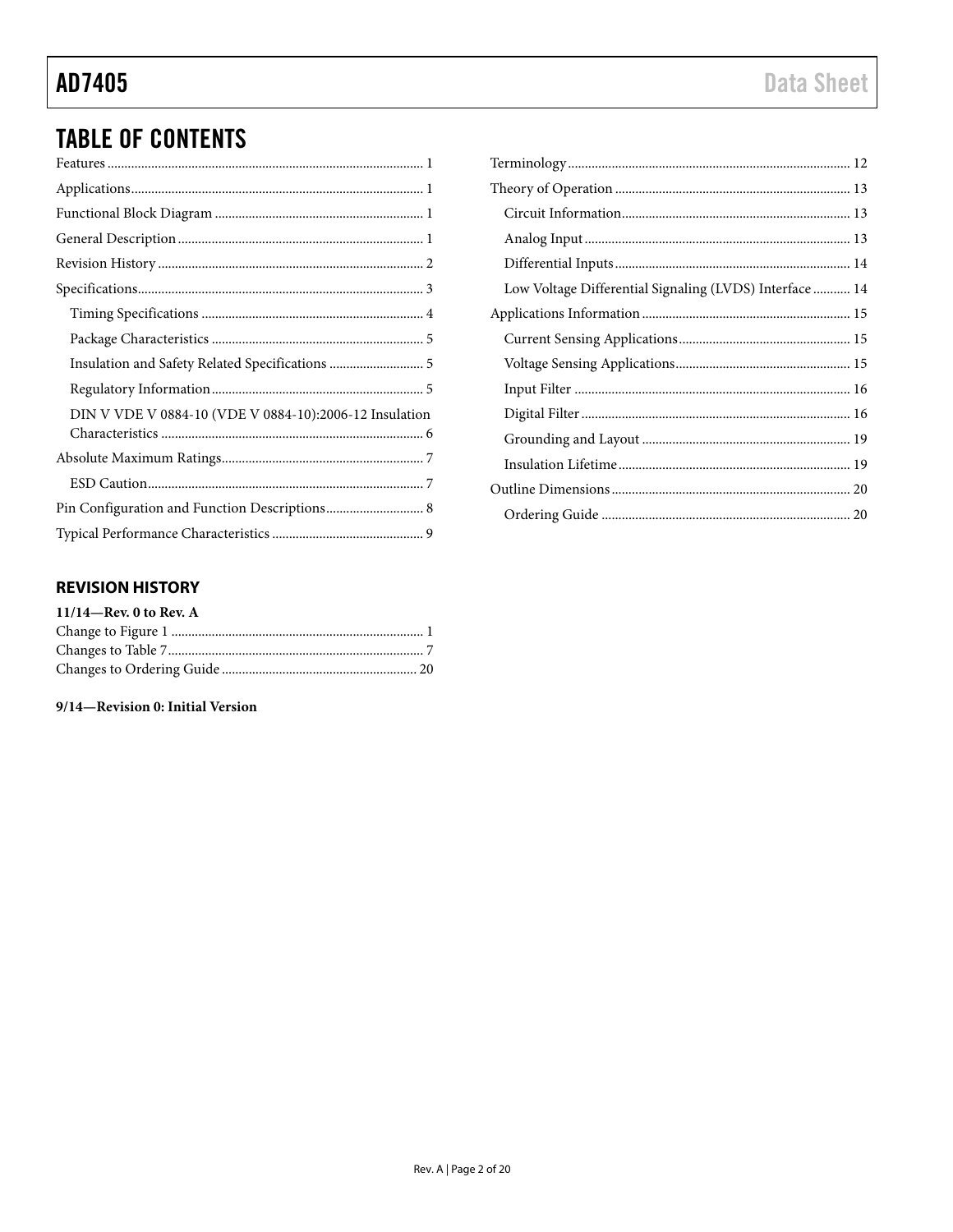# **TABLE OF CONTENTS**

| Insulation and Safety Related Specifications  5        |
|--------------------------------------------------------|
|                                                        |
| DIN V VDE V 0884-10 (VDE V 0884-10):2006-12 Insulation |
|                                                        |
|                                                        |
|                                                        |
|                                                        |
| Pin Configuration and Function Descriptions 8          |

## Low Voltage Differential Signaling (LVDS) Interface ........... 14

### <span id="page-1-0"></span>**REVISION HISTORY**

| $11/14$ —Rev. 0 to Rev. A |  |
|---------------------------|--|
|                           |  |
|                           |  |
|                           |  |

#### 9/14-Revision 0: Initial Version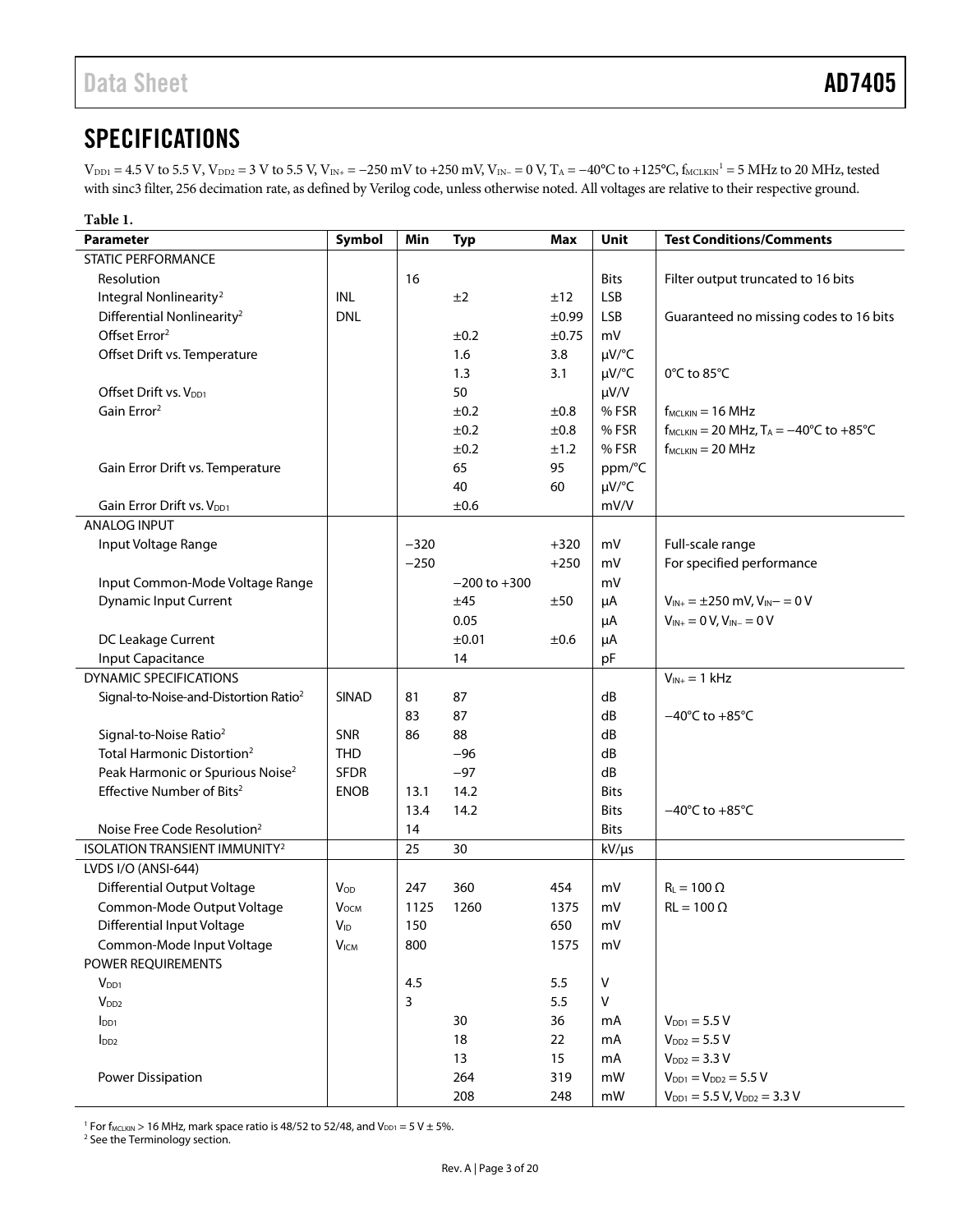# <span id="page-2-0"></span>SPECIFICATIONS

 $V_{\text{DD1}} = 4.5 \text{ V}$  to 5.5 V,  $V_{\text{DD2}} = 3 \text{ V}$  to 5.5 V,  $V_{\text{IN+}} = -250 \text{ mV}$  to +250 mV,  $V_{\text{IN-}} = 0 \text{ V}$ ,  $T_{\text{A}} = -40^{\circ}\text{C}$  to +125 $^{\circ}\text{C}$ ,  $f_{\text{MCLKN}}^{-1} = 5 \text{ MHz}$  to 20 MHz, tested with sinc3 filter, 256 decimation rate, as defined by Verilog code, unless otherwise noted. All voltages are relative to their respective ground.

| Table 1.                                          |                       |        |                  |            |                        |                                                                   |
|---------------------------------------------------|-----------------------|--------|------------------|------------|------------------------|-------------------------------------------------------------------|
| <b>Parameter</b>                                  | Symbol                | Min    | <b>Typ</b>       | <b>Max</b> | Unit                   | <b>Test Conditions/Comments</b>                                   |
| <b>STATIC PERFORMANCE</b>                         |                       |        |                  |            |                        |                                                                   |
| Resolution                                        |                       | 16     |                  |            | <b>Bits</b>            | Filter output truncated to 16 bits                                |
| Integral Nonlinearity <sup>2</sup>                | <b>INL</b>            |        | ±2               | ±12        | <b>LSB</b>             |                                                                   |
| Differential Nonlinearity <sup>2</sup>            | <b>DNL</b>            |        |                  | ±0.99      | <b>LSB</b>             | Guaranteed no missing codes to 16 bits                            |
| Offset Error <sup>2</sup>                         |                       |        | $\pm 0.2$        | ±0.75      | mV                     |                                                                   |
| Offset Drift vs. Temperature                      |                       |        | 1.6              | 3.8        | µV/°C                  |                                                                   |
|                                                   |                       |        | 1.3              | 3.1        | µV/°C                  | $0^{\circ}$ C to 85 $^{\circ}$ C                                  |
| Offset Drift vs. V <sub>DD1</sub>                 |                       |        | 50               |            | $\mu V/V$              |                                                                   |
| Gain Error <sup>2</sup>                           |                       |        | ±0.2             | ±0.8       | %FSR                   | $f_{MCLKIN}$ = 16 MHz                                             |
|                                                   |                       |        | ±0.2             | ±0.8       | %FSR                   | $f_{MCLKIN}$ = 20 MHz, $T_A$ = $-40^{\circ}$ C to $+85^{\circ}$ C |
|                                                   |                       |        | ±0.2             | ±1.2       | %FSR                   | $f_{MCLKIN}$ = 20 MHz                                             |
| Gain Error Drift vs. Temperature                  |                       |        | 65               | 95         | ppm/°C                 |                                                                   |
|                                                   |                       |        | 40               | 60         | µV/°C                  |                                                                   |
| Gain Error Drift vs. V <sub>DD1</sub>             |                       |        | ±0.6             |            | mV/V                   |                                                                   |
| <b>ANALOG INPUT</b>                               |                       |        |                  |            |                        |                                                                   |
| Input Voltage Range                               |                       | $-320$ |                  | $+320$     | mV                     | Full-scale range                                                  |
|                                                   |                       | $-250$ |                  | $+250$     | mV                     | For specified performance                                         |
| Input Common-Mode Voltage Range                   |                       |        | $-200$ to $+300$ |            | mV                     |                                                                   |
| <b>Dynamic Input Current</b>                      |                       |        | ±45              | ±50        | μA                     | $V_{IN+} = \pm 250$ mV, $V_{IN} - = 0$ V                          |
|                                                   |                       |        | 0.05             |            | μA                     | $V_{IN+} = 0 V, V_{IN-} = 0 V$                                    |
| DC Leakage Current                                |                       |        | ±0.01            | ±0.6       | μA                     |                                                                   |
| <b>Input Capacitance</b>                          |                       |        | 14               |            | pF                     |                                                                   |
| <b>DYNAMIC SPECIFICATIONS</b>                     |                       |        |                  |            |                        | $V_{IN+} = 1$ kHz                                                 |
| Signal-to-Noise-and-Distortion Ratio <sup>2</sup> | <b>SINAD</b>          | 81     | 87               |            | dB                     |                                                                   |
|                                                   |                       | 83     | 87               |            | dB                     | $-40^{\circ}$ C to $+85^{\circ}$ C                                |
| Signal-to-Noise Ratio <sup>2</sup>                | SNR                   | 86     | 88               |            | dB                     |                                                                   |
| Total Harmonic Distortion <sup>2</sup>            | <b>THD</b>            |        | $-96$            |            | dB                     |                                                                   |
| Peak Harmonic or Spurious Noise <sup>2</sup>      | <b>SFDR</b>           |        | $-97$            |            | dB                     |                                                                   |
| Effective Number of Bits <sup>2</sup>             | <b>ENOB</b>           | 13.1   | 14.2             |            | <b>Bits</b>            |                                                                   |
|                                                   |                       | 13.4   | 14.2             |            | <b>Bits</b>            | $-40^{\circ}$ C to $+85^{\circ}$ C                                |
| Noise Free Code Resolution <sup>2</sup>           |                       | 14     |                  |            | <b>Bits</b>            |                                                                   |
| <b>ISOLATION TRANSIENT IMMUNITY<sup>2</sup></b>   |                       | 25     | 30               |            | $kV/\mu s$             |                                                                   |
| LVDS I/O (ANSI-644)                               |                       |        |                  |            |                        |                                                                   |
| <b>Differential Output Voltage</b>                | V <sub>OD</sub>       | 247    | 360              | 454        | mV                     | $R_L = 100 \Omega$                                                |
| Common-Mode Output Voltage                        | <b>V</b> осм          | 1125   | 1260             | 1375       | mV                     | $RL = 100 \Omega$                                                 |
| <b>Differential Input Voltage</b>                 | <b>V<sub>ID</sub></b> | 150    |                  | 650        | mV                     |                                                                   |
| Common-Mode Input Voltage                         | V <sub>ICM</sub>      | 800    |                  | 1575       | mV                     |                                                                   |
| POWER REQUIREMENTS                                |                       |        |                  |            |                        |                                                                   |
| $V_{DD1}$                                         |                       | 4.5    |                  | 5.5        | $\mathsf{V}$           |                                                                   |
| V <sub>DD2</sub>                                  |                       | 3      |                  | 5.5        | V                      |                                                                   |
| I <sub>DD1</sub>                                  |                       |        | 30               | 36         | mA                     | $V_{DD1} = 5.5 V$                                                 |
| $I_{DD2}$                                         |                       |        | 18               | 22         | mA                     | $V_{DD2} = 5.5 V$                                                 |
|                                                   |                       |        | 13               | 15         | mA                     | $V_{DD2} = 3.3 V$                                                 |
| Power Dissipation                                 |                       |        | 264              | 319        | mW                     | $V_{DD1} = V_{DD2} = 5.5 V$                                       |
|                                                   |                       |        | 208              | 248        | $\mathsf{m}\mathsf{W}$ | $V_{DD1} = 5.5 V, V_{DD2} = 3.3 V$                                |

<sup>1</sup> For f<sub>MCLKIN</sub> > 16 MHz, mark space ratio is 48/52 to 52/48, and V<sub>DD1</sub> = 5 V  $\pm$  5%.

<sup>2</sup> See th[e Terminology](#page-11-0) section.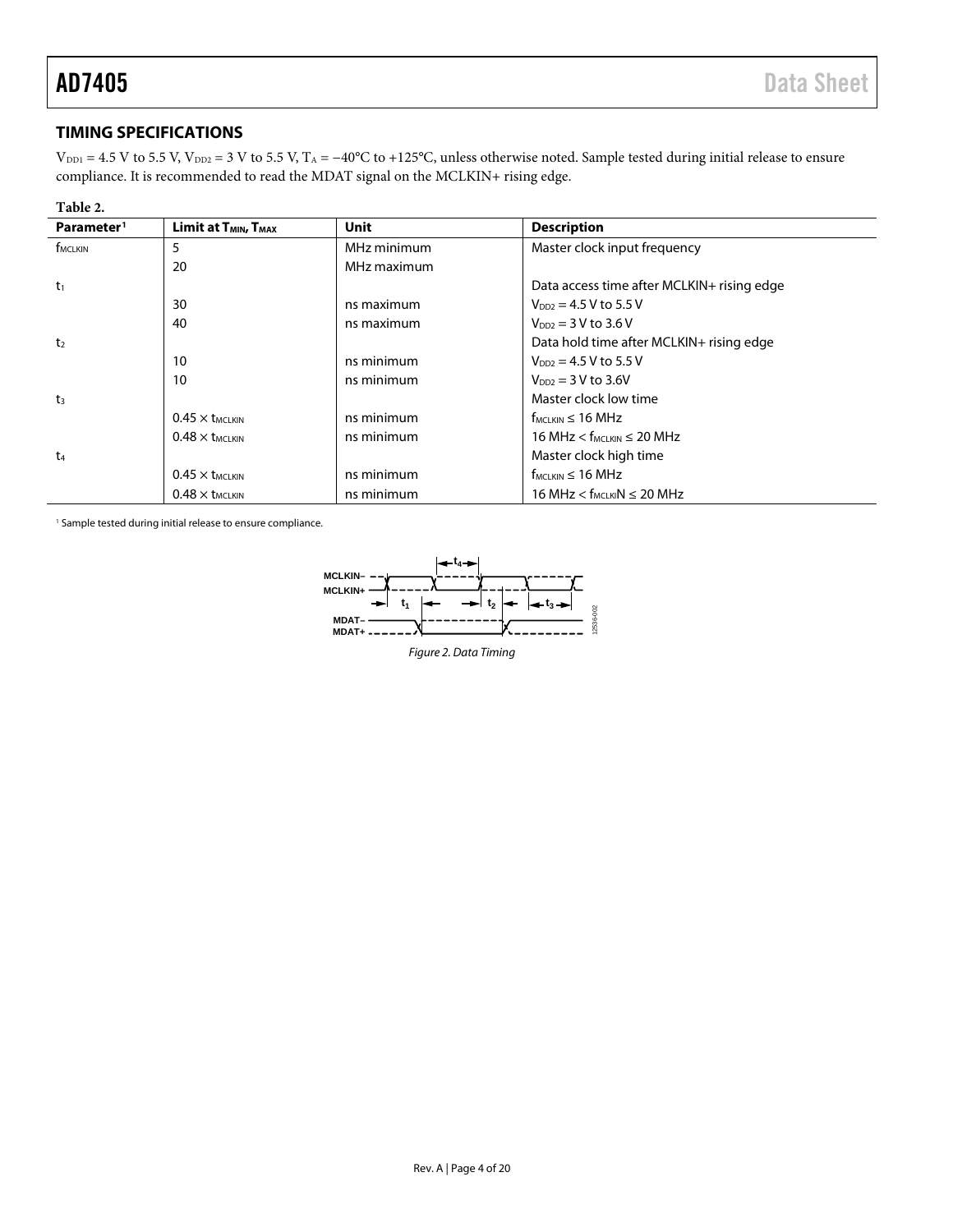## <span id="page-3-0"></span>**TIMING SPECIFICATIONS**

 $V_{\text{DD1}} = 4.5$  V to 5.5 V,  $V_{\text{DD2}} = 3$  V to 5.5 V, T<sub>A</sub> = -40°C to +125°C, unless otherwise noted. Sample tested during initial release to ensure compliance. It is recommended to read the MDAT signal on the MCLKIN+ rising edge.

#### **Table 2.**

| Parameter <sup>1</sup>     | Limit at T <sub>MIN</sub> , T <sub>MAX</sub> | <b>Unit</b> | <b>Description</b>                            |
|----------------------------|----------------------------------------------|-------------|-----------------------------------------------|
| <b>f</b> <sub>MCLKIN</sub> | 5                                            | MHz minimum | Master clock input frequency                  |
|                            | 20                                           | MHz maximum |                                               |
| $t_1$                      |                                              |             | Data access time after MCLKIN+ rising edge    |
|                            | 30                                           | ns maximum  | $V_{DD2} = 4.5 V$ to 5.5 V                    |
|                            | 40                                           | ns maximum  | $V_{DD2} = 3 V to 3.6 V$                      |
| t <sub>2</sub>             |                                              |             | Data hold time after MCLKIN+ rising edge      |
|                            | 10                                           | ns minimum  | $V_{DD2} = 4.5 V$ to 5.5 V                    |
|                            | 10                                           | ns minimum  | $V_{DD2} = 3 V to 3.6 V$                      |
| t <sub>3</sub>             |                                              |             | Master clock low time                         |
|                            | $0.45 \times t$ MCLKIN                       | ns minimum  | $f_{MCLKIN} \leq 16 MHz$                      |
|                            | $0.48 \times t$ MCLKIN                       | ns minimum  | 16 MHz $<$ f <sub>MCLKIN</sub> $\leq$ 20 MHz  |
| t <sub>4</sub>             |                                              |             | Master clock high time                        |
|                            | $0.45 \times t$ MCLKIN                       | ns minimum  | $f_{MCLKIN} \leq 16 MHz$                      |
|                            | $0.48 \times t$ MCLKIN                       | ns minimum  | 16 MHz $<$ f <sub>MCLKI</sub> N $\leq$ 20 MHz |

<sup>1</sup> Sample tested during initial release to ensure compliance.



*Figure 2. Data Timing*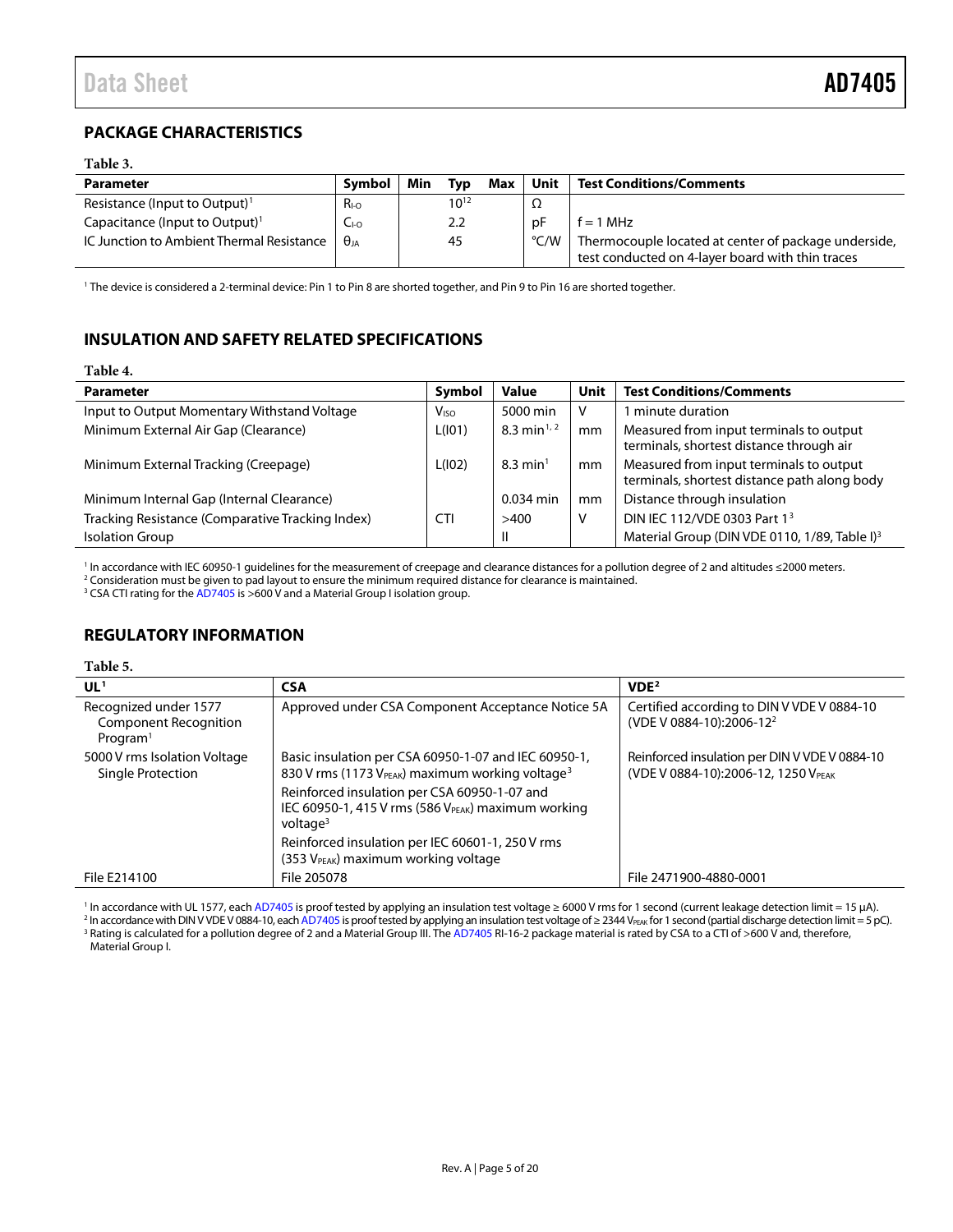## <span id="page-4-0"></span>**PACKAGE CHARACTERISTICS**

#### **Table 3.**

| <b>Parameter</b>                          | Symbol      | Min | Tvp       | Max | Unit | <b>Test Conditions/Comments</b>                                                                          |
|-------------------------------------------|-------------|-----|-----------|-----|------|----------------------------------------------------------------------------------------------------------|
| Resistance (Input to Output) <sup>1</sup> | $R_{I-O}$   |     | $10^{12}$ |     | 77   |                                                                                                          |
| Capacitance (Input to Output) $1$         | $C_{1-0}$   |     | 2.2       |     | рF   | $f = 1$ MHz                                                                                              |
| IC Junction to Ambient Thermal Resistance | $\theta$ ia |     | 45        |     | °C/W | Thermocouple located at center of package underside,<br>test conducted on 4-layer board with thin traces |

<sup>1</sup> The device is considered a 2-terminal device: Pin 1 to Pin 8 are shorted together, and Pin 9 to Pin 16 are shorted together.

### <span id="page-4-1"></span>**INSULATION AND SAFETY RELATED SPECIFICATIONS**

## **Table 4.**

| <b>Parameter</b>                                 | Symbol           | <b>Value</b>                         | <b>Unit</b> | <b>Test Conditions/Comments</b>                                                         |
|--------------------------------------------------|------------------|--------------------------------------|-------------|-----------------------------------------------------------------------------------------|
| Input to Output Momentary Withstand Voltage      | V <sub>ISO</sub> | 5000 min                             | V           | minute duration                                                                         |
| Minimum External Air Gap (Clearance)             | L(101)           | 8.3 min <sup><math>1, 2</math></sup> | mm          | Measured from input terminals to output<br>terminals, shortest distance through air     |
| Minimum External Tracking (Creepage)             | L(102)           | $8.3 \text{ min}^1$                  | mm          | Measured from input terminals to output<br>terminals, shortest distance path along body |
| Minimum Internal Gap (Internal Clearance)        |                  | $0.034$ min                          | mm          | Distance through insulation                                                             |
| Tracking Resistance (Comparative Tracking Index) | <b>CTI</b>       | >400                                 | V           | DIN IEC 112/VDE 0303 Part 13                                                            |
| <b>Isolation Group</b>                           |                  | Ш                                    |             | Material Group (DIN VDE 0110, 1/89, Table I) <sup>3</sup>                               |

<sup>1</sup> In accordance with IEC 60950-1 guidelines for the measurement of creepage and clearance distances for a pollution degree of 2 and altitudes ≤2000 meters.<br><sup>2</sup> Consideration must be given to pad layout to ensure the min

<sup>3</sup> CSA CTI rating for th[e AD7405](http://www.analog.com/AD7405?doc=AD7405.pdf) is >600 V and a Material Group I isolation group.

### <span id="page-4-2"></span>**REGULATORY INFORMATION**

### **Table 5.**

| UL <sup>1</sup>                                                        | <b>CSA</b>                                                                                                               | VDE <sup>2</sup>                                                                     |
|------------------------------------------------------------------------|--------------------------------------------------------------------------------------------------------------------------|--------------------------------------------------------------------------------------|
| Recognized under 1577<br>Component Recognition<br>Program <sup>1</sup> | Approved under CSA Component Acceptance Notice 5A                                                                        | Certified according to DIN V VDE V 0884-10<br>(VDE V 0884-10):2006-12 <sup>2</sup>   |
| 5000 V rms Isolation Voltage<br>Single Protection                      | Basic insulation per CSA 60950-1-07 and IEC 60950-1,<br>830 V rms (1173 VPEAK) maximum working voltage <sup>3</sup>      | Reinforced insulation per DIN V VDE V 0884-10<br>(VDE V 0884-10):2006-12, 1250 VPEAK |
|                                                                        | Reinforced insulation per CSA 60950-1-07 and<br>IEC 60950-1, 415 V rms (586 V $_{PEAK}$ ) maximum working<br>voltage $3$ |                                                                                      |
|                                                                        | Reinforced insulation per IEC 60601-1, 250 V rms<br>(353 V <sub>PEAK</sub> ) maximum working voltage                     |                                                                                      |
| File E214100                                                           | File 205078                                                                                                              | File 2471900-4880-0001                                                               |

<sup>1</sup> In accordance with UL 1577, eac[h AD7405](http://www.analog.com/AD7405?doc=AD7405.pdf) is proof tested by applying an insulation test voltage ≥ 6000 V rms for 1 second (current leakage detection limit = 15 µA).<br><sup>2</sup> In accordance with DIN V VDE V 0884-10, each AD74

3 Rating is calculated for a pollution degree of 2 and a Material Group III. Th[e AD7405](http://www.analog.com/AD7405?doc=AD7405.pdf) RI-16-2 package material is rated by CSA to a CTI of >600 V and, therefore, Material Group I.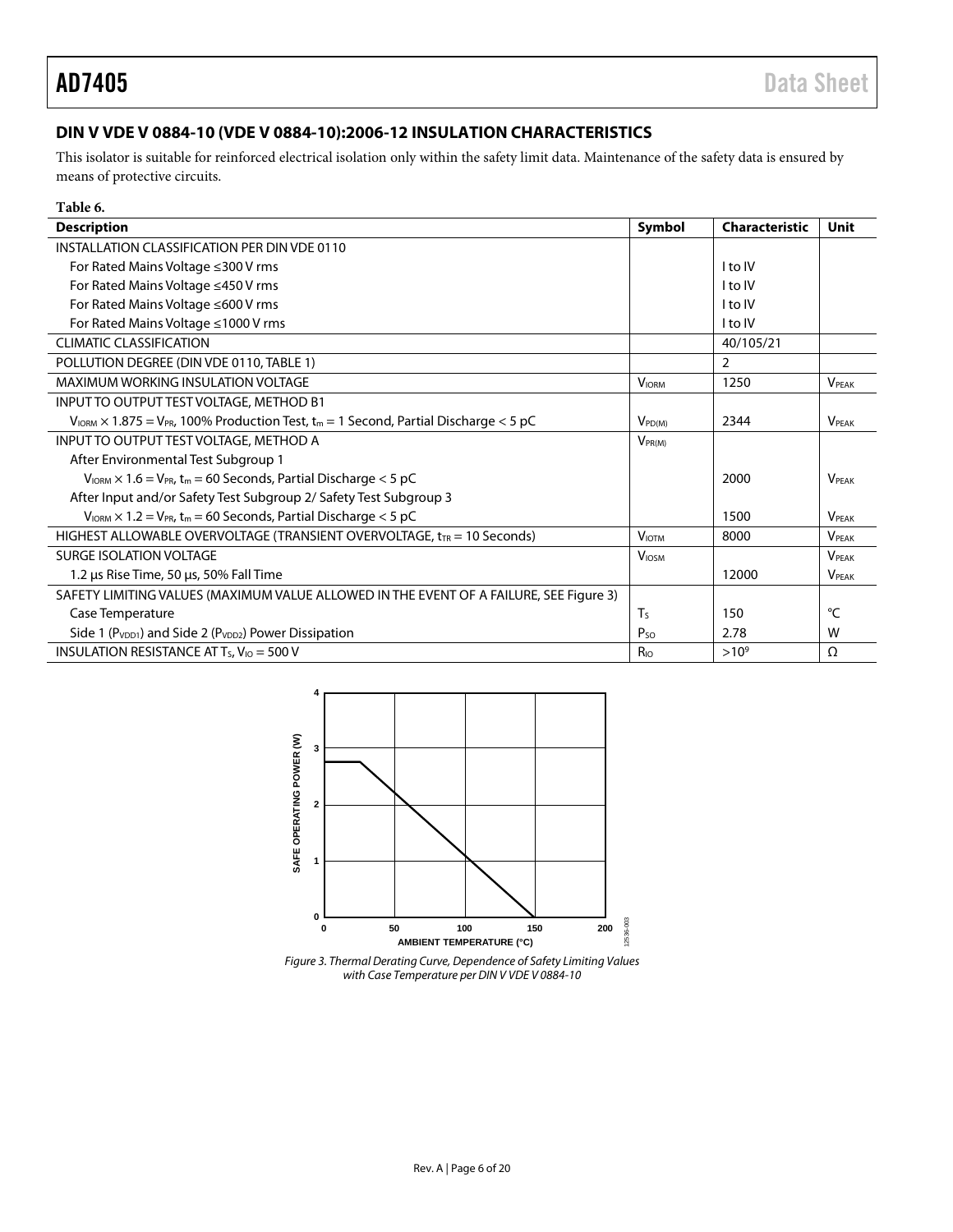## <span id="page-5-0"></span>**DIN V VDE V 0884-10 (VDE V 0884-10):2006-12 INSULATION CHARACTERISTICS**

This isolator is suitable for reinforced electrical isolation only within the safety limit data. Maintenance of the safety data is ensured by means of protective circuits.

| Table 6.                                                                                                                   |                   |                       |              |
|----------------------------------------------------------------------------------------------------------------------------|-------------------|-----------------------|--------------|
| <b>Description</b>                                                                                                         | Symbol            | <b>Characteristic</b> | Unit         |
| INSTALLATION CLASSIFICATION PER DIN VDE 0110                                                                               |                   |                       |              |
| For Rated Mains Voltage ≤300 V rms                                                                                         |                   | I to IV               |              |
| For Rated Mains Voltage ≤450 V rms                                                                                         |                   | I to IV               |              |
| For Rated Mains Voltage ≤600 V rms                                                                                         |                   | I to IV               |              |
| For Rated Mains Voltage ≤1000 V rms                                                                                        |                   | I to IV               |              |
| <b>CLIMATIC CLASSIFICATION</b>                                                                                             |                   | 40/105/21             |              |
| POLLUTION DEGREE (DIN VDE 0110, TABLE 1)                                                                                   |                   | 2                     |              |
| <b>MAXIMUM WORKING INSULATION VOLTAGE</b>                                                                                  | <b>VIORM</b>      | 1250                  | <b>VPFAK</b> |
| INPUT TO OUTPUT TEST VOLTAGE, METHOD B1                                                                                    |                   |                       |              |
| $V_{\text{IORM}} \times 1.875 = V_{\text{PR}}$ , 100% Production Test, t <sub>m</sub> = 1 Second, Partial Discharge < 5 pC | $V_{PDM}$         | 2344                  | <b>VPFAK</b> |
| INPUT TO OUTPUT TEST VOLTAGE, METHOD A                                                                                     | $V_{PR(M)}$       |                       |              |
| After Environmental Test Subgroup 1                                                                                        |                   |                       |              |
| $V_{\text{IORM}} \times 1.6 = V_{\text{PR}}$ , t <sub>m</sub> = 60 Seconds, Partial Discharge < 5 pC                       |                   | 2000                  | <b>VPFAK</b> |
| After Input and/or Safety Test Subgroup 2/ Safety Test Subgroup 3                                                          |                   |                       |              |
| $V_{\text{IORM}} \times 1.2 = V_{\text{PR}}$ , t <sub>m</sub> = 60 Seconds, Partial Discharge < 5 pC                       |                   | 1500                  | <b>VPFAK</b> |
| HIGHEST ALLOWABLE OVERVOLTAGE (TRANSIENT OVERVOLTAGE, $t_{TR}$ = 10 Seconds)                                               | <b>VIOTM</b>      | 8000                  | <b>VPFAK</b> |
| <b>SURGE ISOLATION VOLTAGE</b>                                                                                             | V <sub>IOSM</sub> |                       | <b>VPFAK</b> |
| 1.2 μs Rise Time, 50 μs, 50% Fall Time                                                                                     |                   | 12000                 | <b>VPFAK</b> |
| SAFETY LIMITING VALUES (MAXIMUM VALUE ALLOWED IN THE EVENT OF A FAILURE, SEE Figure 3)                                     |                   |                       |              |
| Case Temperature                                                                                                           | T <sub>S</sub>    | 150                   | °C           |
| Side 1 (P <sub>VDD1</sub> ) and Side 2 (P <sub>VDD2</sub> ) Power Dissipation                                              | P <sub>SO</sub>   | 2.78                  | W            |
| INSULATION RESISTANCE AT T <sub>S</sub> , $V_{10} = 500 V$                                                                 | $R_{10}$          | $>10^{9}$             | Ω            |



<span id="page-5-1"></span>*Figure 3. Thermal Derating Curve, Dependence of Safety Limiting Values with Case Temperature per DIN V VDE V 0884-10*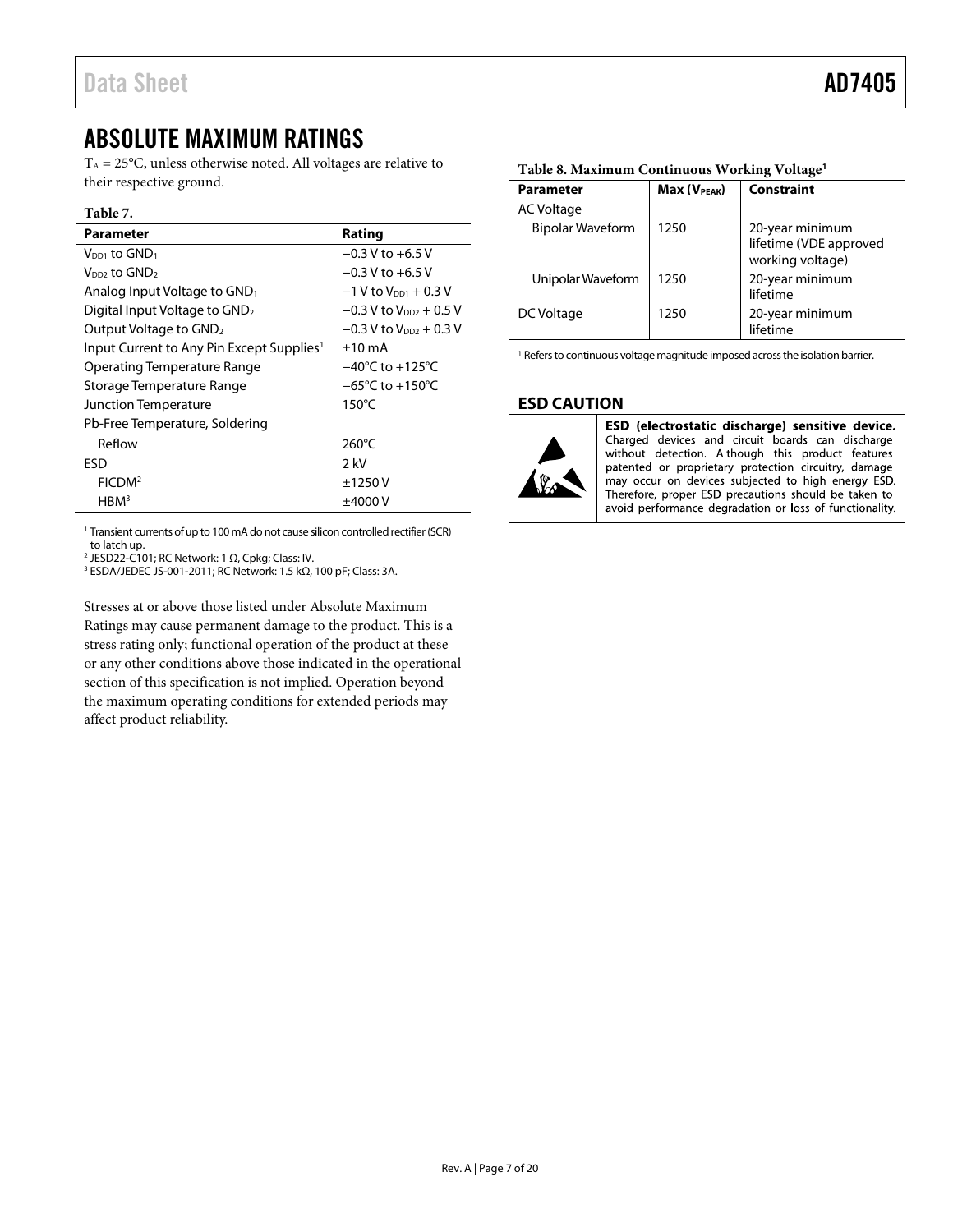# <span id="page-6-0"></span>ABSOLUTE MAXIMUM RATINGS

 $T_A = 25$ °C, unless otherwise noted. All voltages are relative to their respective ground.

#### **Table 7.**

| <b>Parameter</b>                                      | Rating                               |
|-------------------------------------------------------|--------------------------------------|
| $V_{DD1}$ to $GND_1$                                  | $-0.3$ V to $+6.5$ V                 |
| $V_{DD2}$ to $GND2$                                   | $-0.3$ V to $+6.5$ V                 |
| Analog Input Voltage to $GND_1$                       | $-1$ V to $V_{DD1}$ + 0.3 V          |
| Digital Input Voltage to GND <sub>2</sub>             | $-0.3$ V to V <sub>DD2</sub> + 0.5 V |
| Output Voltage to GND <sub>2</sub>                    | $-0.3$ V to V <sub>DD2</sub> + 0.3 V |
| Input Current to Any Pin Except Supplies <sup>1</sup> | $+10 \text{ mA}$                     |
| Operating Temperature Range                           | $-40^{\circ}$ C to $+125^{\circ}$ C  |
| Storage Temperature Range                             | $-65^{\circ}$ C to $+150^{\circ}$ C  |
| Junction Temperature                                  | $150^{\circ}$ C                      |
| Pb-Free Temperature, Soldering                        |                                      |
| Reflow                                                | $260^{\circ}$ C                      |
| <b>FSD</b>                                            | 2 kV                                 |
| FICDM <sup>2</sup>                                    | ±1250V                               |
| HBM <sup>3</sup>                                      | ±4000 V                              |

<sup>1</sup> Transient currents of up to 100 mA do not cause silicon controlled rectifier (SCR) to latch up.

<sup>2</sup> JESD22-C101; RC Network: 1 Ω, Cpkg; Class: IV.<br><sup>3</sup> ESDA/JEDEC JS-001-2011; RC Network: 1.5 kΩ, 100 pF; Class: 3A.

Stresses at or above those listed under Absolute Maximum Ratings may cause permanent damage to the product. This is a stress rating only; functional operation of the product at these or any other conditions above those indicated in the operational section of this specification is not implied. Operation beyond the maximum operating conditions for extended periods may affect product reliability.

#### <span id="page-6-2"></span>**Table 8. Maximum Continuous Working Voltage<sup>1</sup>**

| <b>Parameter</b>        | Max (V <sub>PEAK</sub> ) | <b>Constraint</b>                                             |
|-------------------------|--------------------------|---------------------------------------------------------------|
| AC Voltage              |                          |                                                               |
| <b>Bipolar Waveform</b> | 1250                     | 20-year minimum<br>lifetime (VDE approved<br>working voltage) |
| Unipolar Waveform       | 1250                     | 20-year minimum<br>lifetime                                   |
| DC Voltage              | 1250                     | 20-year minimum<br>lifetime                                   |

<sup>1</sup> Refers to continuous voltage magnitude imposed across the isolation barrier.

#### <span id="page-6-1"></span>**ESD CAUTION**



ESD (electrostatic discharge) sensitive device. Charged devices and circuit boards can discharge without detection. Although this product features patented or proprietary protection circuitry, damage may occur on devices subjected to high energy ESD. Therefore, proper ESD precautions should be taken to avoid performance degradation or loss of functionality.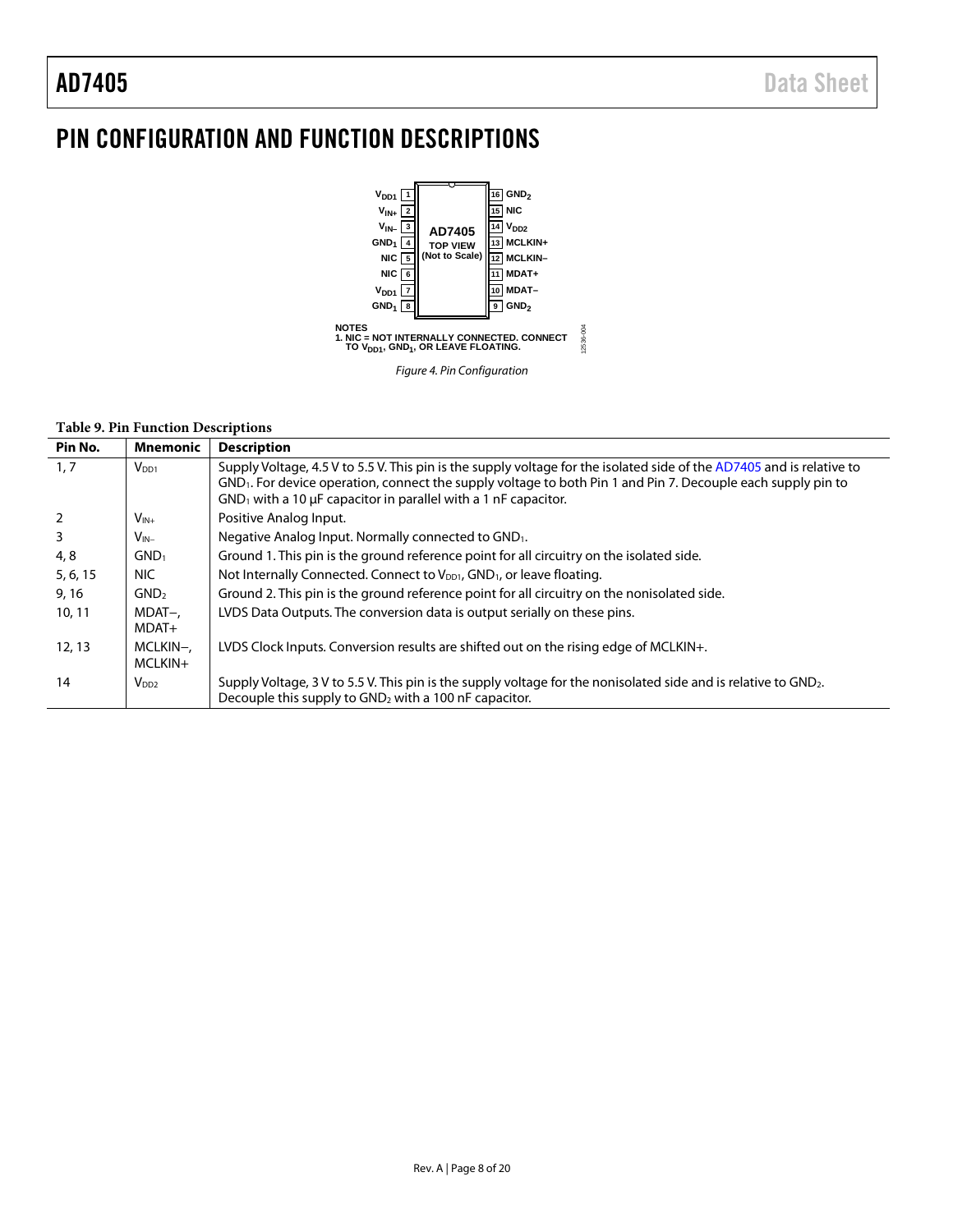# <span id="page-7-0"></span>PIN CONFIGURATION AND FUNCTION DESCRIPTIONS



#### **Table 9. Pin Function Descriptions**

| Pin No.  | <b>Mnemonic</b>     | <b>Description</b>                                                                                                                                                                                                                                                                                                         |
|----------|---------------------|----------------------------------------------------------------------------------------------------------------------------------------------------------------------------------------------------------------------------------------------------------------------------------------------------------------------------|
| 1, 7     | $V_{DD1}$           | Supply Voltage, 4.5 V to 5.5 V. This pin is the supply voltage for the isolated side of the AD7405 and is relative to<br>GND <sub>1</sub> . For device operation, connect the supply voltage to both Pin 1 and Pin 7. Decouple each supply pin to<br>$GND1$ with a 10 $\mu$ F capacitor in parallel with a 1 nF capacitor. |
| 2        | $V_{IN+}$           | Positive Analog Input.                                                                                                                                                                                                                                                                                                     |
| 3        | $V_{IN-}$           | Negative Analog Input. Normally connected to GND <sub>1</sub> .                                                                                                                                                                                                                                                            |
| 4, 8     | GND <sub>1</sub>    | Ground 1. This pin is the ground reference point for all circuitry on the isolated side.                                                                                                                                                                                                                                   |
| 5, 6, 15 | NIC.                | Not Internally Connected. Connect to V <sub>DD1</sub> , GND <sub>1</sub> , or leave floating.                                                                                                                                                                                                                              |
| 9,16     | GND <sub>2</sub>    | Ground 2. This pin is the ground reference point for all circuitry on the nonisolated side.                                                                                                                                                                                                                                |
| 10, 11   | $MDAT-$<br>$MDAT+$  | LVDS Data Outputs. The conversion data is output serially on these pins.                                                                                                                                                                                                                                                   |
| 12, 13   | MCLKIN-,<br>MCLKIN+ | LVDS Clock Inputs. Conversion results are shifted out on the rising edge of MCLKIN+.                                                                                                                                                                                                                                       |
| 14       | V <sub>DD2</sub>    | Supply Voltage, 3 V to 5.5 V. This pin is the supply voltage for the nonisolated side and is relative to GND <sub>2</sub> .<br>Decouple this supply to $GND2$ with a 100 nF capacitor.                                                                                                                                     |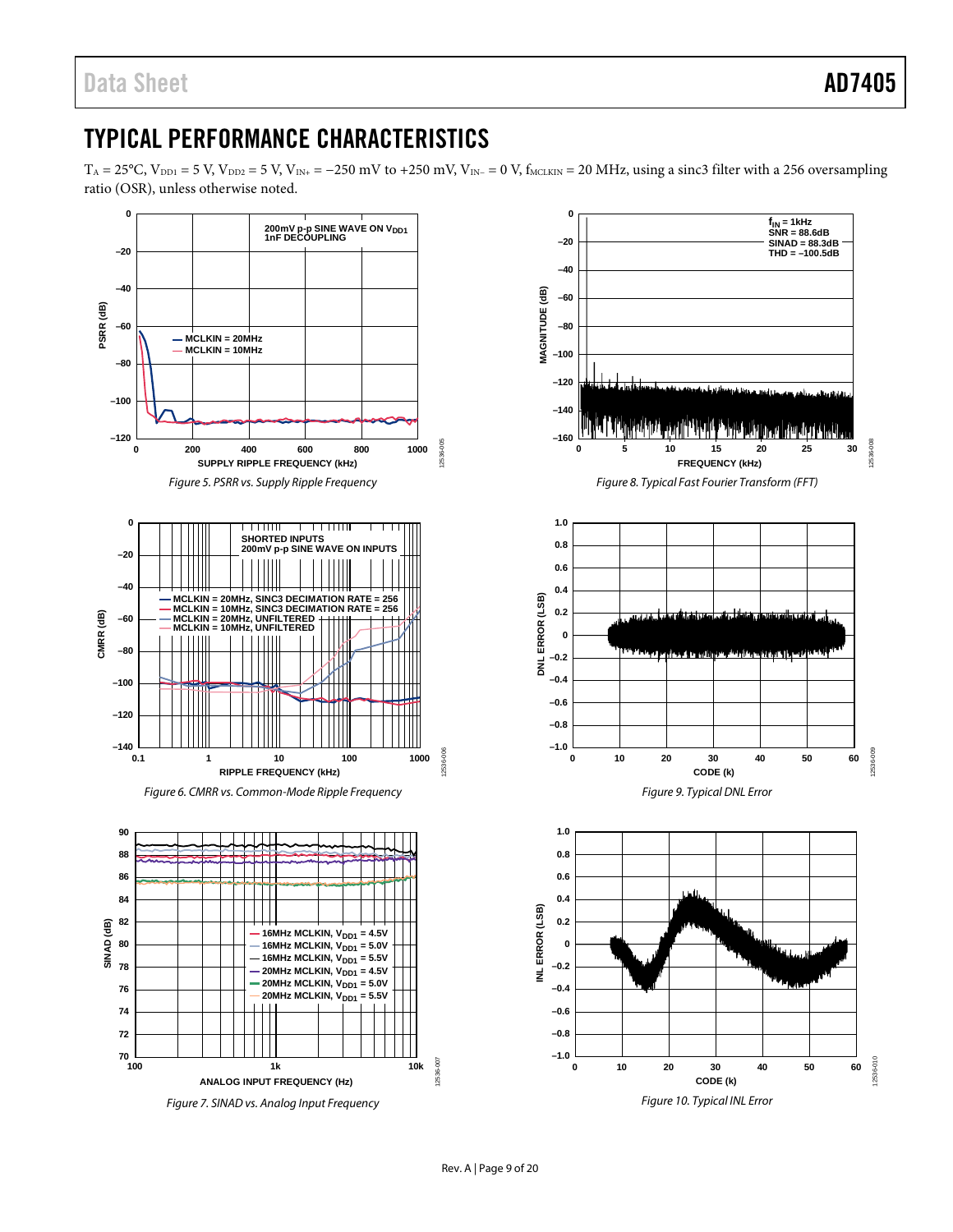12536-008

2536-008

12536-009

12536-009

12536-010

12536-010

# <span id="page-8-0"></span>TYPICAL PERFORMANCE CHARACTERISTICS

 $T_A = 25$ °C, V<sub>DD1</sub> = 5 V, V<sub>DD2</sub> = 5 V, V<sub>IN+</sub> = −250 mV to +250 mV, V<sub>IN-</sub> = 0 V, f<sub>MCLKIN</sub> = 20 MHz, using a sinc3 filter with a 256 oversampling ratio (OSR), unless otherwise noted.

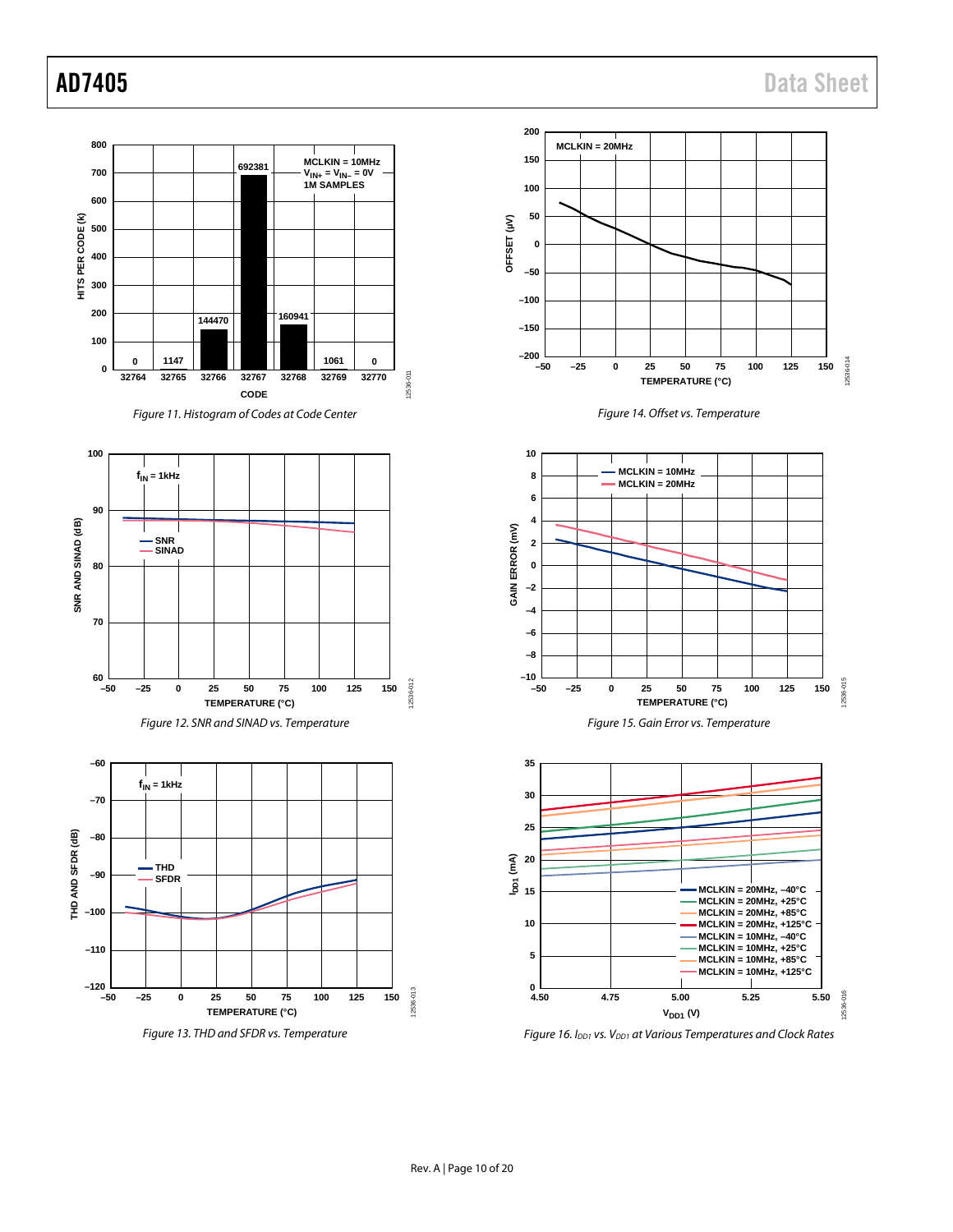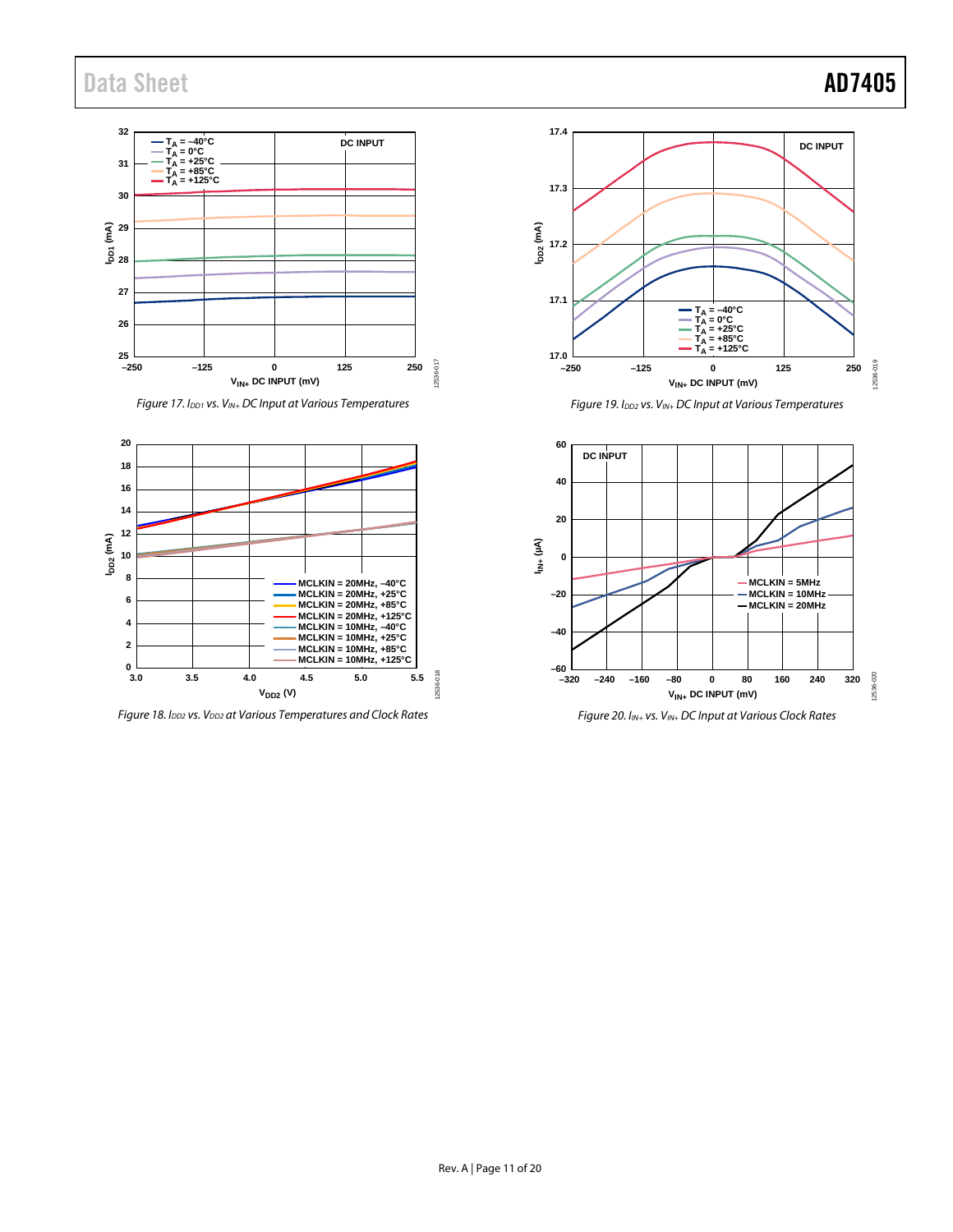

*Figure 17. IDD1 vs. VIN+ DC Input at Various Temperatures* 



*Figure 18. IDD2 vs. VDD2 at Various Temperatures and Clock Rates*



*Figure 19. IDD2 vs. VIN+ DC Input at Various Temperatures* 



*Figure 20. IIN+ vs. VIN+ DC Input at Various Clock Rates*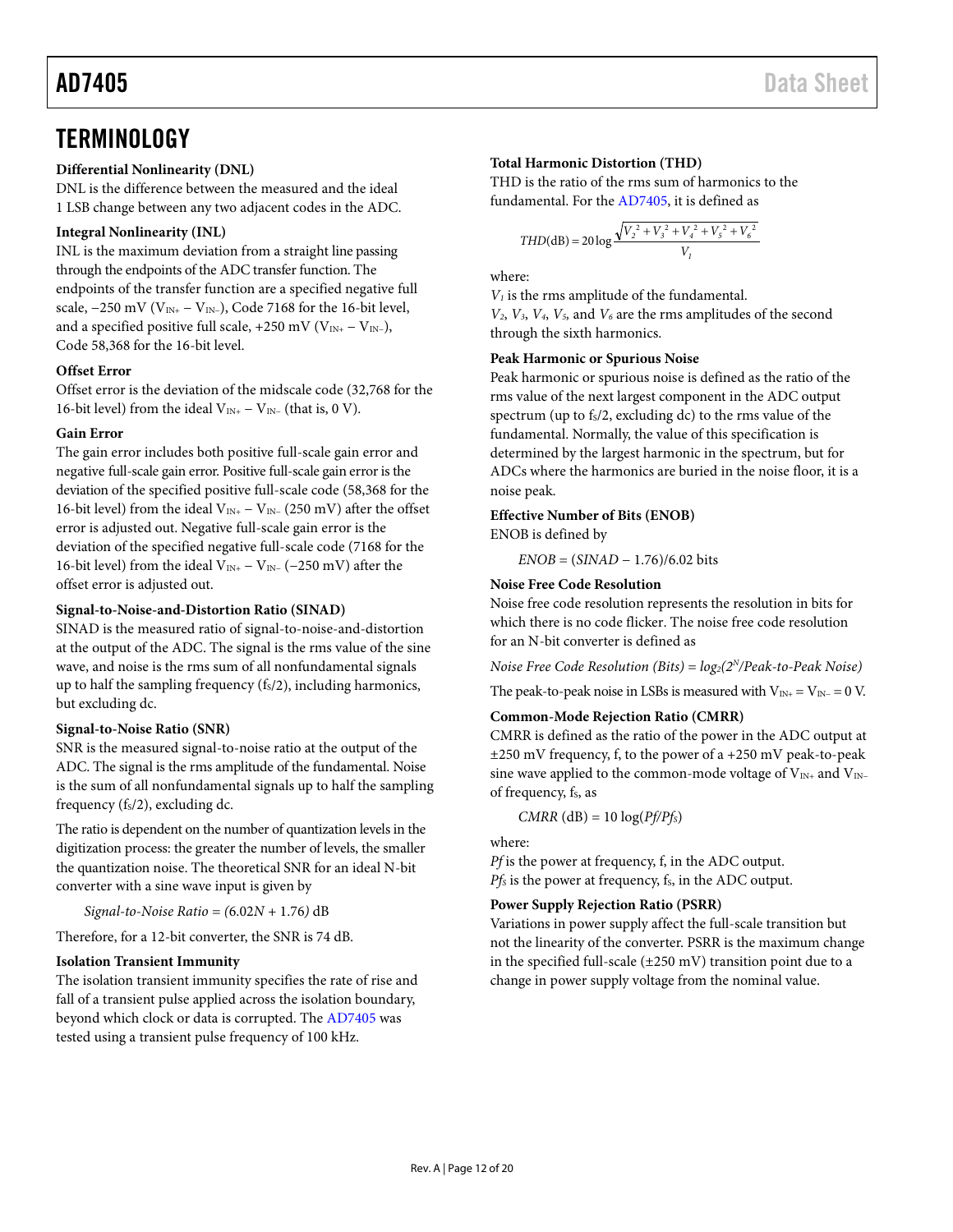# <span id="page-11-0"></span>**TERMINOLOGY**

### **Differential Nonlinearity (DNL)**

DNL is the difference between the measured and the ideal 1 LSB change between any two adjacent codes in the ADC.

### **Integral Nonlinearity (INL)**

INL is the maximum deviation from a straight line passing through the endpoints of the ADC transfer function. The endpoints of the transfer function are a specified negative full scale,  $-250$  mV (V<sub>IN+</sub> – V<sub>IN</sub>-), Code 7168 for the 16-bit level, and a specified positive full scale, +250 mV ( $V_{IN+} - V_{IN-}$ ), Code 58,368 for the 16-bit level.

#### **Offset Error**

Offset error is the deviation of the midscale code (32,768 for the 16-bit level) from the ideal V<sub>IN+</sub> – V<sub>IN</sub>− (that is, 0 V).

#### **Gain Error**

The gain error includes both positive full-scale gain error and negative full-scale gain error. Positive full-scale gain error is the deviation of the specified positive full-scale code (58,368 for the 16-bit level) from the ideal V<sub>IN+</sub> – V<sub>IN</sub>− (250 mV) after the offset error is adjusted out. Negative full-scale gain error is the deviation of the specified negative full-scale code (7168 for the 16-bit level) from the ideal V<sub>IN+</sub>  $-$  V<sub>IN</sub>− ( $-250$  mV) after the offset error is adjusted out.

#### **Signal-to-Noise-and-Distortion Ratio (SINAD)**

SINAD is the measured ratio of signal-to-noise-and-distortion at the output of the ADC. The signal is the rms value of the sine wave, and noise is the rms sum of all nonfundamental signals up to half the sampling frequency  $(f<sub>s</sub>/2)$ , including harmonics, but excluding dc.

#### **Signal-to-Noise Ratio (SNR)**

SNR is the measured signal-to-noise ratio at the output of the ADC. The signal is the rms amplitude of the fundamental. Noise is the sum of all nonfundamental signals up to half the sampling frequency  $(f_s/2)$ , excluding dc.

The ratio is dependent on the number of quantization levels in the digitization process: the greater the number of levels, the smaller the quantization noise. The theoretical SNR for an ideal N-bit converter with a sine wave input is given by

*Signal-to-Noise Ratio = (*6.02*N +* 1.76*)* dB

Therefore, for a 12-bit converter, the SNR is 74 dB.

#### **Isolation Transient Immunity**

The isolation transient immunity specifies the rate of rise and fall of a transient pulse applied across the isolation boundary, beyond which clock or data is corrupted. The [AD7405](http://www.analog.com/AD7405?doc=AD7405.pdf) was tested using a transient pulse frequency of 100 kHz.

#### **Total Harmonic Distortion (THD)**

THD is the ratio of the rms sum of harmonics to the fundamental. For the [AD7405,](http://www.analog.com/AD7405?doc=AD7405.pdf) it is defined as

$$
THD(dB) = 20 \log \frac{\sqrt{V_2^2 + V_3^2 + V_4^2 + V_5^2 + V_6^2}}{V_1}
$$

where:

*V1* is the rms amplitude of the fundamental.

*V2*, *V3*, *V4*, *V5,* and *V6* are the rms amplitudes of the second through the sixth harmonics.

#### **Peak Harmonic or Spurious Noise**

Peak harmonic or spurious noise is defined as the ratio of the rms value of the next largest component in the ADC output spectrum (up to  $f_s/2$ , excluding dc) to the rms value of the fundamental. Normally, the value of this specification is determined by the largest harmonic in the spectrum, but for ADCs where the harmonics are buried in the noise floor, it is a noise peak.

## **Effective Number of Bits (ENOB)**

ENOB is defined by

*ENOB* = (*SINAD* − 1.76)/6.02 bits

#### **Noise Free Code Resolution**

Noise free code resolution represents the resolution in bits for which there is no code flicker. The noise free code resolution for an N-bit converter is defined as

*Noise Free Code Resolution (Bits)* =  $log_2(2^N/Peak-to-Peak Noise)$ 

The peak-to-peak noise in LSBs is measured with  $V_{IN^+} = V_{IN^-} = 0$  V.

#### **Common-Mode Rejection Ratio (CMRR)**

CMRR is defined as the ratio of the power in the ADC output at ±250 mV frequency, f, to the power of a +250 mV peak-to-peak sine wave applied to the common-mode voltage of  $V_{IN+}$  and  $V_{IN-}$ of frequency, fs, as

 $CMRR$  (dB) = 10  $log(Pf/Pf<sub>S</sub>)$ 

where:

*Pf* is the power at frequency, f, in the ADC output. *Pfs* is the power at frequency, fs, in the ADC output.

#### **Power Supply Rejection Ratio (PSRR)**

Variations in power supply affect the full-scale transition but not the linearity of the converter. PSRR is the maximum change in the specified full-scale (±250 mV) transition point due to a change in power supply voltage from the nominal value.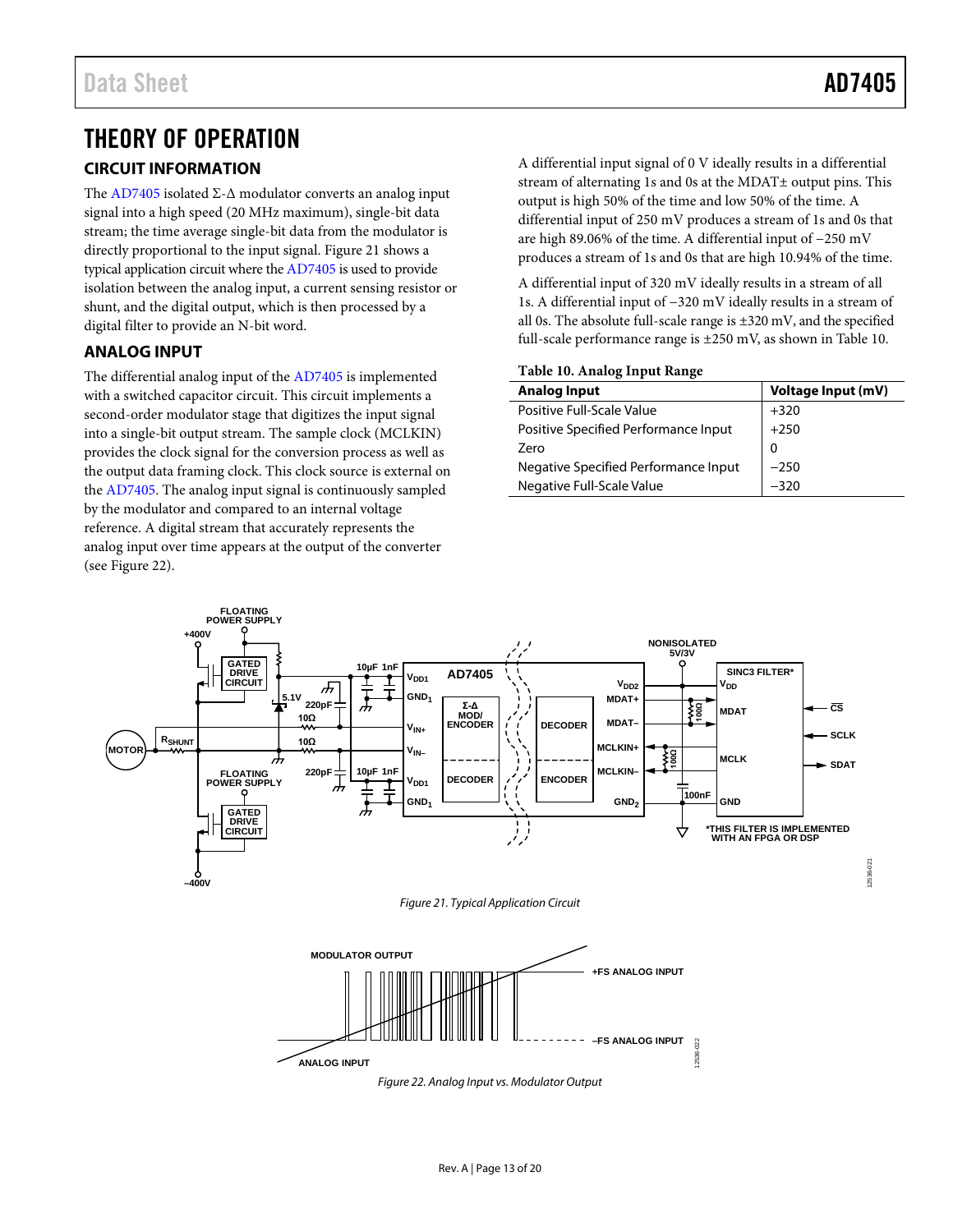# <span id="page-12-0"></span>THEORY OF OPERATION

## <span id="page-12-1"></span>**CIRCUIT INFORMATION**

The [AD7405](http://www.analog.com/AD7405?doc=AD7405.pdf) isolated  $\Sigma$ - $\Delta$  modulator converts an analog input signal into a high speed (20 MHz maximum), single-bit data stream; the time average single-bit data from the modulator is directly proportional to the input signal. [Figure 21](#page-12-3) shows a typical application circuit where th[e AD7405](http://www.analog.com/AD7405?doc=AD7405.pdf) is used to provide isolation between the analog input, a current sensing resistor or shunt, and the digital output, which is then processed by a digital filter to provide an N-bit word.

## <span id="page-12-2"></span>**ANALOG INPUT**

The differential analog input of th[e AD7405](http://www.analog.com/AD7405?doc=AD7405.pdf) is implemented with a switched capacitor circuit. This circuit implements a second-order modulator stage that digitizes the input signal into a single-bit output stream. The sample clock (MCLKIN) provides the clock signal for the conversion process as well as the output data framing clock. This clock source is external on the [AD7405.](http://www.analog.com/AD7405?doc=AD7405.pdf) The analog input signal is continuously sampled by the modulator and compared to an internal voltage reference. A digital stream that accurately represents the analog input over time appears at the output of the converter (see [Figure 22\)](#page-12-4).

A differential input signal of 0 V ideally results in a differential stream of alternating 1s and 0s at the MDAT± output pins. This output is high 50% of the time and low 50% of the time. A differential input of 250 mV produces a stream of 1s and 0s that are high 89.06% of the time. A differential input of −250 mV produces a stream of 1s and 0s that are high 10.94% of the time.

A differential input of 320 mV ideally results in a stream of all 1s. A differential input of −320 mV ideally results in a stream of all 0s. The absolute full-scale range is ±320 mV, and the specified full-scale performance range is ±250 mV, as shown i[n Table 10.](#page-12-5)

#### <span id="page-12-5"></span>**Table 10. Analog Input Range**

| <b>Analog Input</b>                  | <b>Voltage Input (mV)</b> |
|--------------------------------------|---------------------------|
| Positive Full-Scale Value            | $+320$                    |
| Positive Specified Performance Input | $+250$                    |
| Zero                                 | 0                         |
| Negative Specified Performance Input | $-250$                    |
| Negative Full-Scale Value            | $-320$                    |



<span id="page-12-4"></span><span id="page-12-3"></span>

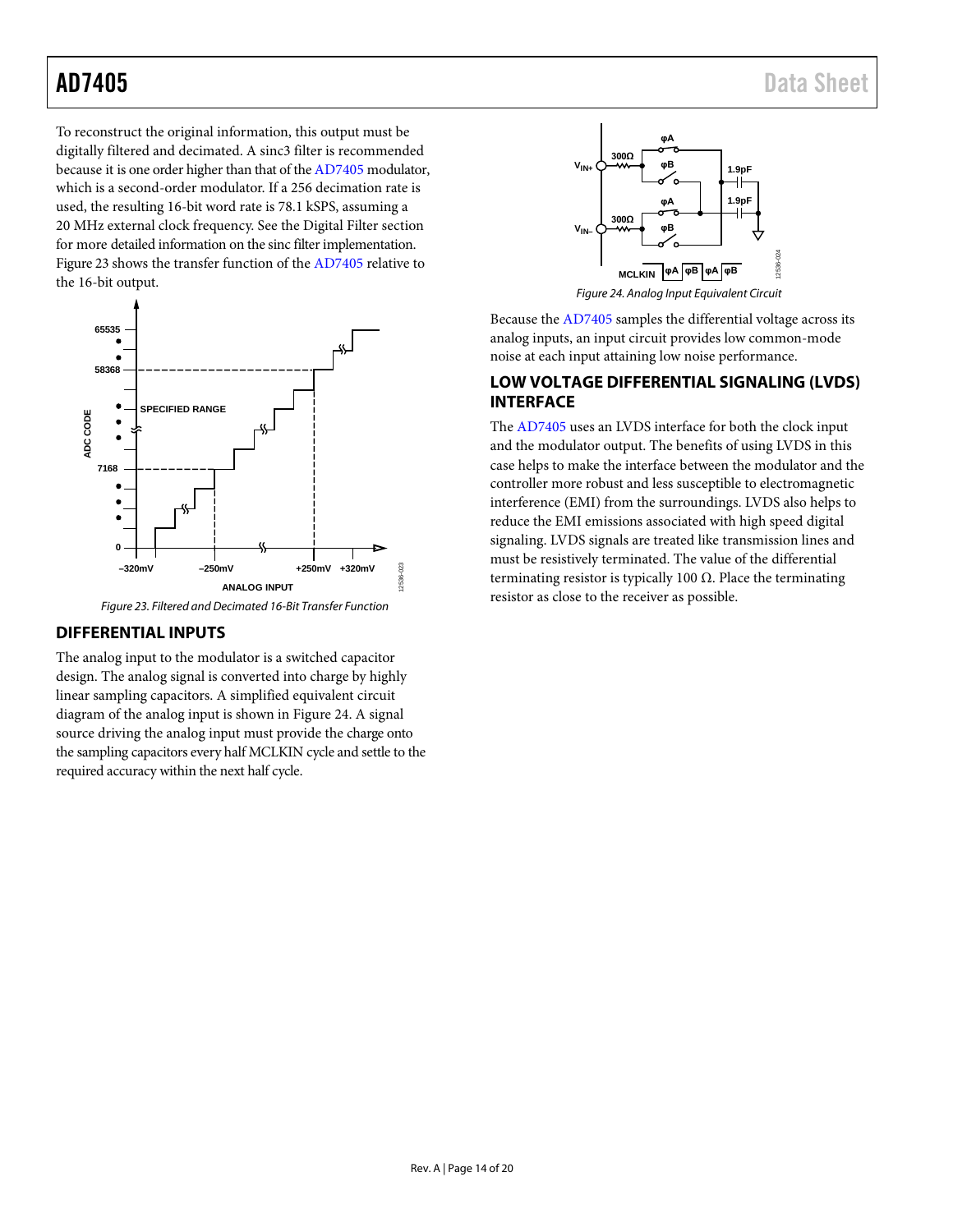To reconstruct the original information, this output must be digitally filtered and decimated. A sinc3 filter is recommended because it is one order higher than that of th[e AD7405](http://www.analog.com/AD7405?doc=AD7405.pdf) modulator, which is a second-order modulator. If a 256 decimation rate is used, the resulting 16-bit word rate is 78.1 kSPS, assuming a 20 MHz external clock frequency. See th[e Digital Filter](#page-15-1) section for more detailed information on the sinc filter implementation. [Figure 23](#page-13-2) shows the transfer function of the [AD7405](http://www.analog.com/AD7405?doc=AD7405.pdf) relative to the 16-bit output.



*Figure 23. Filtered and Decimated 16-Bit Transfer Function* 

### <span id="page-13-2"></span><span id="page-13-0"></span>**DIFFERENTIAL INPUTS**

The analog input to the modulator is a switched capacitor design. The analog signal is converted into charge by highly linear sampling capacitors. A simplified equivalent circuit diagram of the analog input is shown i[n Figure 24.](#page-13-3) A signal source driving the analog input must provide the charge onto the sampling capacitors every half MCLKIN cycle and settle to the required accuracy within the next half cycle.



<span id="page-13-3"></span>Because the [AD7405](http://www.analog.com/AD7405?doc=AD7405.pdf) samples the differential voltage across its analog inputs, an input circuit provides low common-mode noise at each input attaining low noise performance.

### <span id="page-13-1"></span>**LOW VOLTAGE DIFFERENTIAL SIGNALING (LVDS) INTERFACE**

The [AD7405](http://www.analog.com/AD7405?doc=AD7405.pdf) uses an LVDS interface for both the clock input and the modulator output. The benefits of using LVDS in this case helps to make the interface between the modulator and the controller more robust and less susceptible to electromagnetic interference (EMI) from the surroundings. LVDS also helps to reduce the EMI emissions associated with high speed digital signaling. LVDS signals are treated like transmission lines and must be resistively terminated. The value of the differential terminating resistor is typically 100  $Ω$ . Place the terminating resistor as close to the receiver as possible.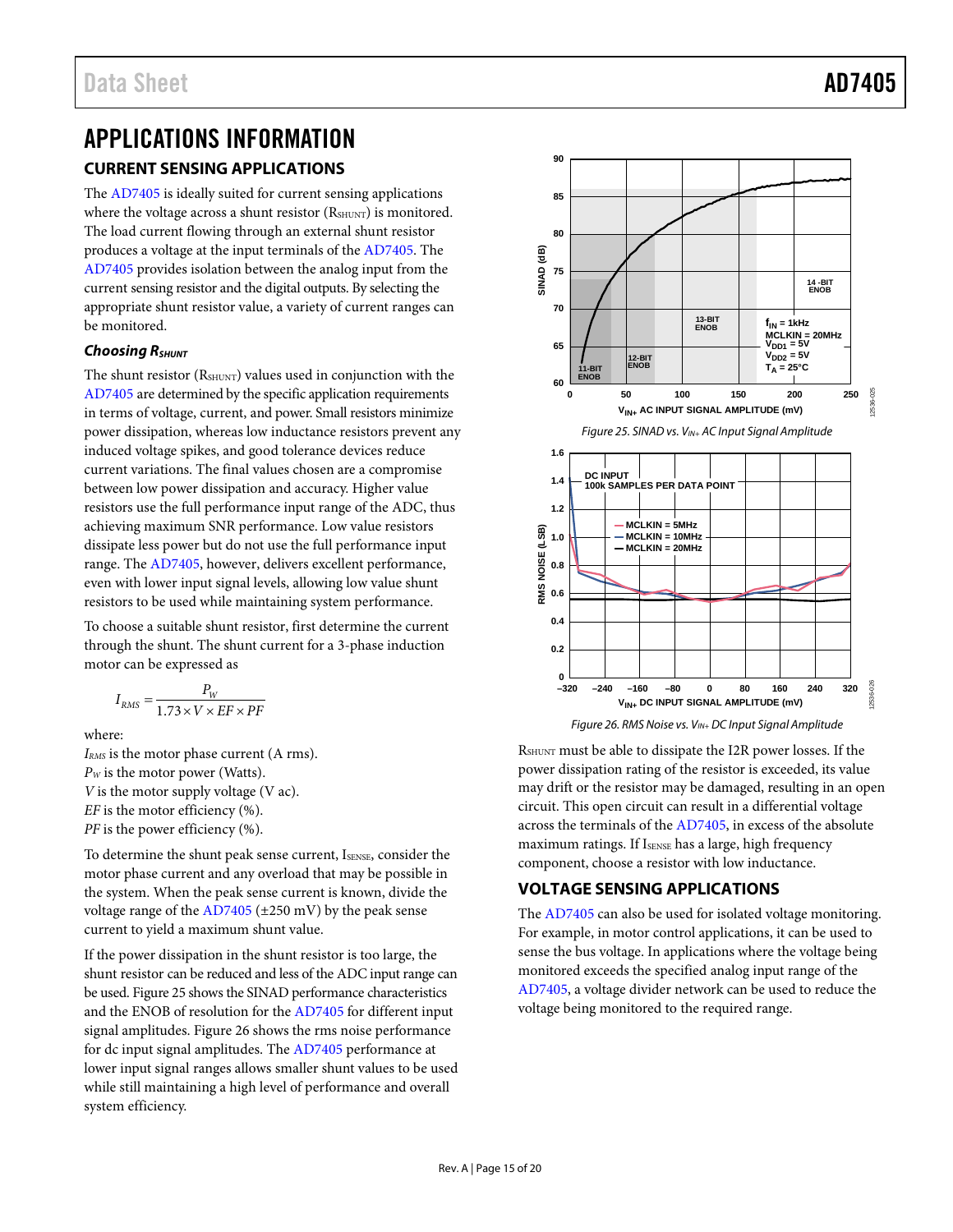# <span id="page-14-1"></span><span id="page-14-0"></span>APPLICATIONS INFORMATION **CURRENT SENSING APPLICATIONS**

The [AD7405](http://www.analog.com/AD7405?doc=AD7405.pdf) is ideally suited for current sensing applications where the voltage across a shunt resistor (RSHUNT) is monitored. The load current flowing through an external shunt resistor produces a voltage at the input terminals of the [AD7405.](http://www.analog.com/AD7405?doc=AD7405.pdf) The [AD7405](http://www.analog.com/AD7405?doc=AD7405.pdf) provides isolation between the analog input from the current sensing resistor and the digital outputs. By selecting the appropriate shunt resistor value, a variety of current ranges can be monitored.

### **Choosing RSHUNT**

The shunt resistor (RSHUNT) values used in conjunction with the [AD7405](http://www.analog.com/AD7405?doc=AD7405.pdf) are determined by the specific application requirements in terms of voltage, current, and power. Small resistors minimize power dissipation, whereas low inductance resistors prevent any induced voltage spikes, and good tolerance devices reduce current variations. The final values chosen are a compromise between low power dissipation and accuracy. Higher value resistors use the full performance input range of the ADC, thus achieving maximum SNR performance. Low value resistors dissipate less power but do not use the full performance input range. Th[e AD7405,](http://www.analog.com/AD7405?doc=AD7405.pdf) however, delivers excellent performance, even with lower input signal levels, allowing low value shunt resistors to be used while maintaining system performance.

To choose a suitable shunt resistor, first determine the current through the shunt. The shunt current for a 3-phase induction motor can be expressed as

$$
I_{RMS} = \frac{P_W}{1.73 \times V \times EF \times PF}
$$

where:

*IRMS* is the motor phase current (A rms). *PW* is the motor power (Watts). *V* is the motor supply voltage (V ac). *EF* is the motor efficiency (%). *PF* is the power efficiency (%).

To determine the shunt peak sense current, ISENSE, consider the motor phase current and any overload that may be possible in the system. When the peak sense current is known, divide the voltage range of the  $AD7405$  ( $\pm 250$  mV) by the peak sense current to yield a maximum shunt value.

If the power dissipation in the shunt resistor is too large, the shunt resistor can be reduced and less of the ADC input range can be used[. Figure 25](#page-14-3) shows the SINAD performance characteristics and the ENOB of resolution for th[e AD7405](http://www.analog.com/AD7405?doc=AD7405.pdf) for different input signal amplitudes[. Figure 26](#page-14-4) shows the rms noise performance for dc input signal amplitudes. Th[e AD7405](http://www.analog.com/AD7405?doc=AD7405.pdf) performance at lower input signal ranges allows smaller shunt values to be used while still maintaining a high level of performance and overall system efficiency.

<span id="page-14-3"></span>

*Figure 26. RMS Noise vs. VIN+ DC Input Signal Amplitude*

<span id="page-14-4"></span>RSHUNT must be able to dissipate the I2R power losses. If the power dissipation rating of the resistor is exceeded, its value may drift or the resistor may be damaged, resulting in an open circuit. This open circuit can result in a differential voltage across the terminals of th[e AD7405,](http://www.analog.com/AD7405?doc=AD7405.pdf) in excess of the absolute maximum ratings. If ISENSE has a large, high frequency component, choose a resistor with low inductance.

## <span id="page-14-2"></span>**VOLTAGE SENSING APPLICATIONS**

The [AD7405](http://www.analog.com/AD7405?doc=AD7405.pdf) can also be used for isolated voltage monitoring. For example, in motor control applications, it can be used to sense the bus voltage. In applications where the voltage being monitored exceeds the specified analog input range of the [AD7405,](http://www.analog.com/AD7405?doc=AD7405.pdf) a voltage divider network can be used to reduce the voltage being monitored to the required range.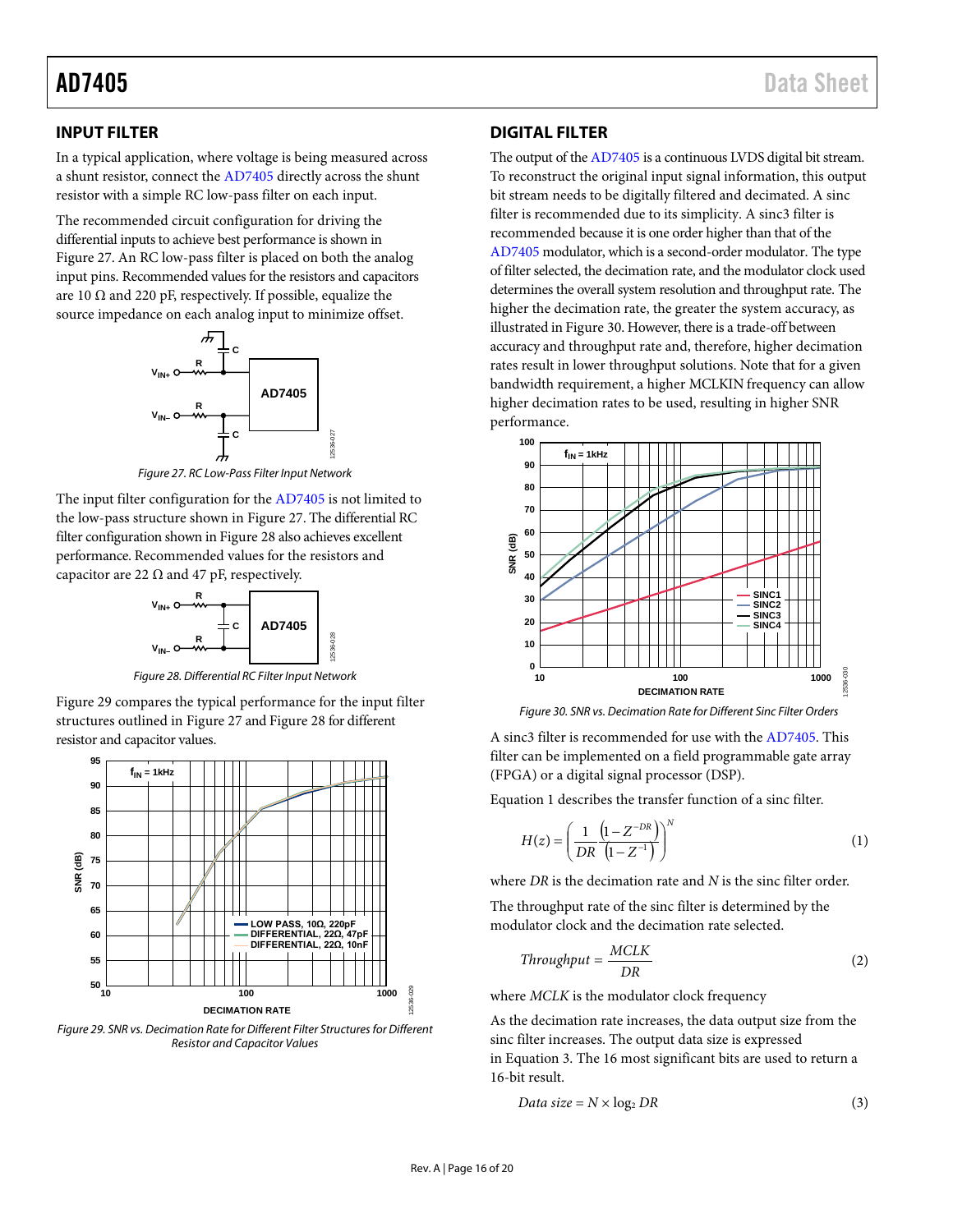### <span id="page-15-0"></span>**INPUT FILTER**

In a typical application, where voltage is being measured across a shunt resistor, connect the [AD7405](http://www.analog.com/AD7405?doc=AD7405.pdf) directly across the shunt resistor with a simple RC low-pass filter on each input.

The recommended circuit configuration for driving the differential inputs to achieve best performance is shown in [Figure](#page-15-2) 27. An RC low-pass filter is placed on both the analog input pins. Recommended values for the resistors and capacitors are 10  $\Omega$  and 220 pF, respectively. If possible, equalize the source impedance on each analog input to minimize offset.



*Figure 27. RC Low-Pass Filter Input Network*

<span id="page-15-2"></span>The input filter configuration for the [AD7405](http://www.analog.com/AD7405?doc=AD7405.pdf) is not limited to the low-pass structure shown in [Figure](#page-15-2) 27. The differential RC filter configuration shown i[n Figure](#page-15-3) 28 also achieves excellent performance. Recommended values for the resistors and capacitor are 22  $\Omega$  and 47 pF, respectively.



*Figure 28. Differential RC Filter Input Network*

<span id="page-15-3"></span>[Figure 29](#page-15-4) compares the typical performance for the input filter structures outlined in [Figure](#page-15-2) 27 an[d Figure](#page-15-3) 28 for different resistor and capacitor values.



<span id="page-15-4"></span>*Figure 29. SNR vs. Decimation Rate for Different Filter Structuresfor Different Resistor and Capacitor Values*

### <span id="page-15-1"></span>**DIGITAL FILTER**

The output of th[e AD7405](http://www.analog.com/AD7405?doc=AD7405.pdf) is a continuous LVDS digital bit stream. To reconstruct the original input signal information, this output bit stream needs to be digitally filtered and decimated. A sinc filter is recommended due to its simplicity. A sinc3 filter is recommended because it is one order higher than that of the [AD7405](http://www.analog.com/AD7405?doc=AD7405.pdf) modulator, which is a second-order modulator. The type of filter selected, the decimation rate, and the modulator clock used determines the overall system resolution and throughput rate. The higher the decimation rate, the greater the system accuracy, as illustrated i[n Figure 30.](#page-15-5) However, there is a trade-off between accuracy and throughput rate and, therefore, higher decimation rates result in lower throughput solutions. Note that for a given bandwidth requirement, a higher MCLKIN frequency can allow higher decimation rates to be used, resulting in higher SNR performance.



*Figure 30. SNR vs. Decimation Rate for Different Sinc Filter Orders*

<span id="page-15-5"></span>A sinc3 filter is recommended for use with th[e AD7405.](http://www.analog.com/AD7405?doc=AD7405.pdf) This filter can be implemented on a field programmable gate array (FPGA) or a digital signal processor (DSP).

Equation 1 describes the transfer function of a sinc filter.

$$
H(z) = \left(\frac{1}{DR} \frac{\left(1 - Z^{-DR}\right)}{\left(1 - Z^{-1}\right)}\right)^N
$$
 (1)

where *DR* is the decimation rate and *N* is the sinc filter order.

The throughput rate of the sinc filter is determined by the modulator clock and the decimation rate selected.

$$
Throughput = \frac{MCLK}{DR}
$$
 (2)

where *MCLK* is the modulator clock frequency

As the decimation rate increases, the data output size from the sinc filter increases. The output data size is expressed in Equation 3. The 16 most significant bits are used to return a 16-bit result.

$$
Data size = N \times \log_2 DR \tag{3}
$$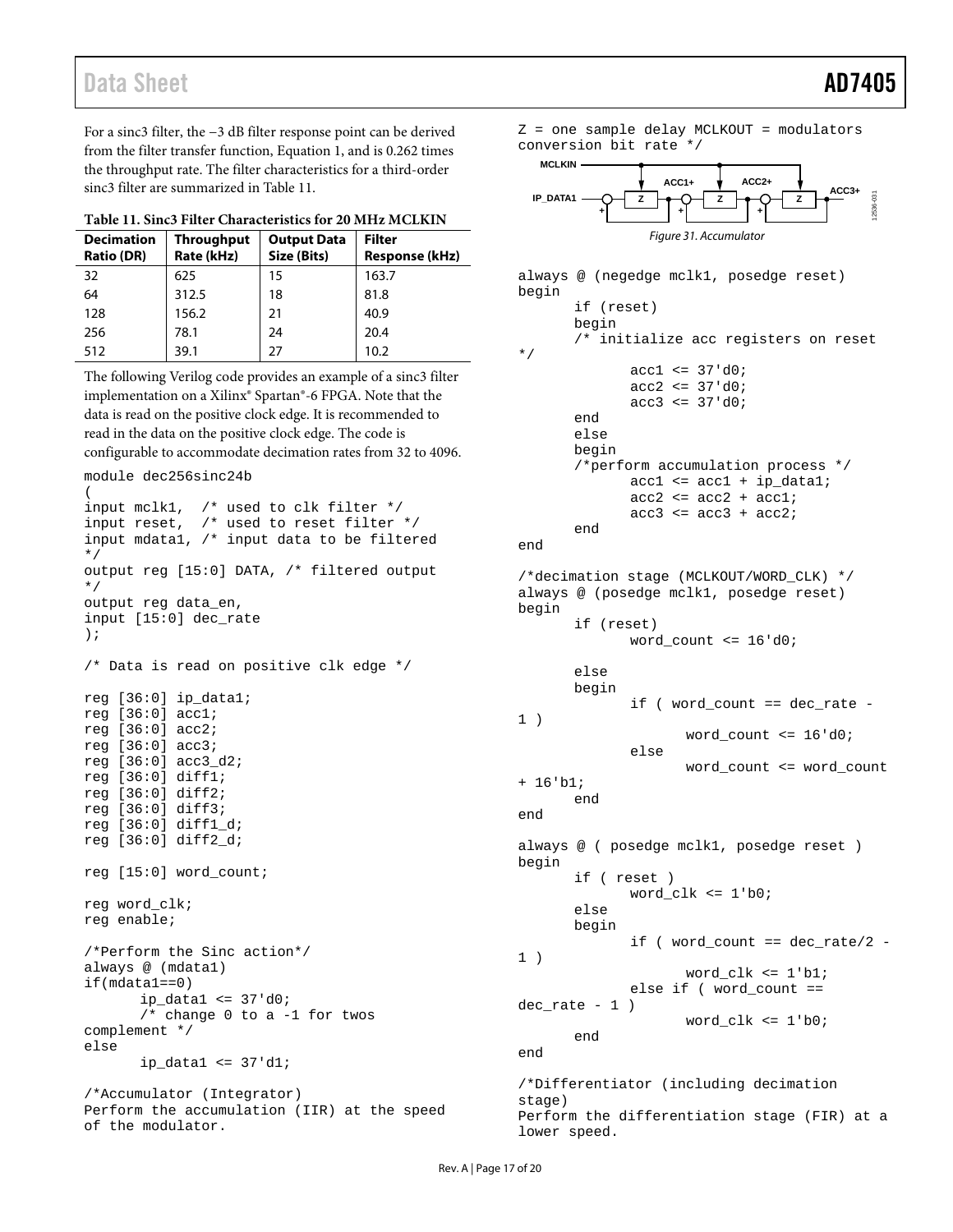# Data Sheet **AD7405**

For a sinc3 filter, the −3 dB filter response point can be derived from the filter transfer function, Equation 1, and is 0.262 times the throughput rate. The filter characteristics for a third-order sinc3 filter are summarized i[n Table 11.](#page-16-0) 

<span id="page-16-0"></span>

|  |  | Table 11. Sinc3 Filter Characteristics for 20 MHz MCLKIN |  |  |
|--|--|----------------------------------------------------------|--|--|
|--|--|----------------------------------------------------------|--|--|

| <b>Decimation</b><br><b>Ratio (DR)</b> | <b>Throughput</b><br>Rate (kHz) | <b>Output Data</b><br>Size (Bits) | <b>Filter</b><br>Response (kHz) |
|----------------------------------------|---------------------------------|-----------------------------------|---------------------------------|
| 32                                     | 625                             | 15                                | 163.7                           |
| 64                                     | 312.5                           | 18                                | 81.8                            |
| 128                                    | 156.2                           | 21                                | 40.9                            |
| 256                                    | 78.1                            | 24                                | 20.4                            |
| 512                                    | 39.1                            | 27                                | 10.2                            |

The following Verilog code provides an example of a sinc3 filter implementation on a Xilinx® Spartan®-6 FPGA. Note that the data is read on the positive clock edge. It is recommended to read in the data on the positive clock edge. The code is configurable to accommodate decimation rates from 32 to 4096.

```
module dec256sinc24b
```

```
(input mclk1, /* used to clk filter */ 
input reset, /* used to reset filter */ 
input mdata1, /* input data to be filtered 
*/ 
output reg [15:0] DATA, /* filtered output 
*/ 
output reg data_en, 
input [15:0] dec_rate 
);
```

```
/* Data is read on positive clk edge */
```
reg [36:0] ip\_data1; reg [36:0] acc1; reg [36:0] acc2; reg [36:0] acc3; reg [36:0] acc3\_d2; reg [36:0] diff1; reg [36:0] diff2; reg [36:0] diff3; reg  $[36:0]$  diffl d; reg [36:0] diff2\_d; reg [15:0] word\_count; reg word\_clk; reg enable; /\*Perform the Sinc action\*/ always @ (mdata1) if(mdata1==0)  $ip\_data1 \leq 37'd0;$ /\* change 0 to a -1 for twos complement \*/ else ip\_data1 <= 37'd1;

/\*Accumulator (Integrator) Perform the accumulation (IIR) at the speed of the modulator.

Z = one sample delay MCLKOUT = modulators conversion bit rate \*/ **MCLKIN ACC1+ ACC2+ ACC3+ IP\_DATA1** 12536-031 **Z Z Z** 2536-03 **+ + +** *Figure 31. Accumulator*  always @ (negedge mclk1, posedge reset) begin if (reset) begin /\* initialize acc registers on reset \*/  $acc1$  <= 37'd0;  $acc2 \leq 37'd0;$  $acc3 \leq 37'd0;$ end else begin /\*perform accumulation process \*/  $acc1 \leq acc1 + ip_data1$ ;  $acc2 \leq acc2 + acc1$ ;  $acc3 \leq acc3 + acc2$ ; end end /\*decimation stage (MCLKOUT/WORD\_CLK) \*/ always @ (posedge mclk1, posedge reset) begin if (reset)  $word_count \leq 16' d0;$ else begin if ( word\_count == dec\_rate - 1 ) word count  $\leq 16'd0$ ; else word\_count <= word\_count + 16'b1; end end always @ ( posedge mclk1, posedge reset ) begin if ( reset )  $word_clk \leq 1'b0;$ else begin if ( word\_count == dec\_rate/2 - 1 ) word\_clk <= 1'b1; else if ( word\_count == dec rate  $- 1$  ) word $clk$  <=  $1'bb$ ; end end /\*Differentiator (including decimation stage) Perform the differentiation stage (FIR) at a

lower speed.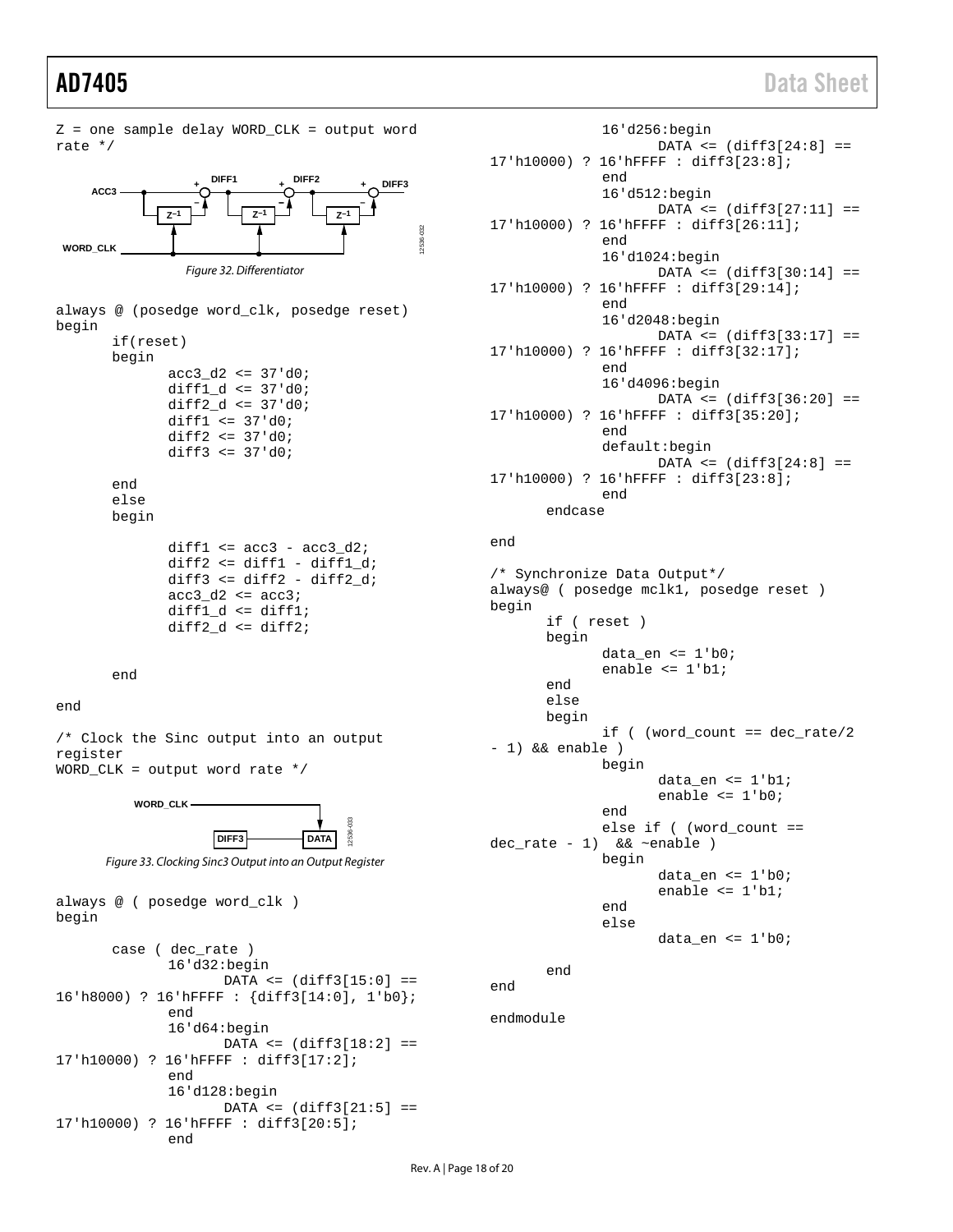# AD7405 Data Sheet

Z = one sample delay WORD\_CLK = output word rate \*/ DIFF1  $+$  **DIFF2**  $+$  **DIFF3 DIFF2 + + ACC3 – – – – Z–1 Z–1 Z–1** 2536-032 12536-032 **WORD\_CLK** *Figure 32. Differentiator* always @ (posedge word\_clk, posedge reset) begin if(reset) begin  $acc3_d2 \leq 37'd0;$ diff $1_d \leq 37'd0;$ diff $2_d \leq 37'd0$ ; diff1 <= 37'd0; diff $2 \leq 37'$ d $0$ ;  $diff3 \leq 37'd0;$ end else begin diff $1 \leq ac \leq 3 - acc \leq d2$ ;  $diff2 \leq diff1 - diff1/di$  $diff3 \le diff2 - diff2 - diff2$ acc3  $d2 \leq acc3$ ;  $diff1_d \leq diff1;$ diff $2_d$  <= diff $2$ ; end end /\* Clock the Sinc output into an output register WORD\_CLK = output word rate \*/ **WORD\_CLK** 12536-033 **DIFF3 DATA** 253 *Figure 33. Clocking Sinc3 Output into an Output Register* always @ ( posedge word\_clk ) begin case ( dec\_rate ) 16'd32:begin  $DATA \leq (diff3[15:0] ==$ 16'h8000) ? 16'hFFFF : {diff3[14:0], 1'b0}; end 16'd64:begin  $DATA \leq (diff3[18:2] ==$ 17'h10000) ? 16'hFFFF : diff3[17:2]; end 16'd128:begin  $DATA \leq (diff3[21:5] ==$ 17'h10000) ? 16'hFFFF : diff3[20:5]; end

```
16'd256:begin 
                     DATA <= (diff3[24:8] == 
17'h10000) ? 16'hFFFF : diff3[23:8]; 
              end 
              16'd512:begin 
                     DATA \leq (diff3[27:11] ==17'h10000) ? 16'hFFFF : diff3[26:11]; 
              end 
              16'd1024:begin 
                     DATA <= (diff3[30:14] == 
17'h10000) ? 16'hFFFF : diff3[29:14]; 
              end 
              16'd2048:begin 
                     DATA <= (diff3[33:17] == 
17'h10000) ? 16'hFFFF : diff3[32:17]; 
              end 
              16'd4096:begin 
                     DATA \leq (diff3[36:20] ==17'h10000) ? 16'hFFFF : diff3[35:20]; 
              end 
              default:begin 
                     DATA <= (diff3[24:8] == 
17'h10000) ? 16'hFFFF : diff3[23:8]; 
              end 
       endcase 
end
/* Synchronize Data Output*/
always@ ( posedge mclk1, posedge reset ) 
begin 
       if ( reset ) 
       begin 
              data en \leq 1'b0;enable <= 1'b1; 
       end 
       else 
       begin 
              if ( (word_count == dec_rate/2 
-1) & \& enable )begin 
                     data_en <= 1'b1;
                     enable \leq 1'b0;
              end 
              else if ( (word_count == 
dec_rate - 1) & \simenable )
              begin
                     data_en <= 1'b0;
                     enable <= 1'b1; 
              end 
              else 
                     data_en <= 1'b0; 
       end
end 
endmodule
```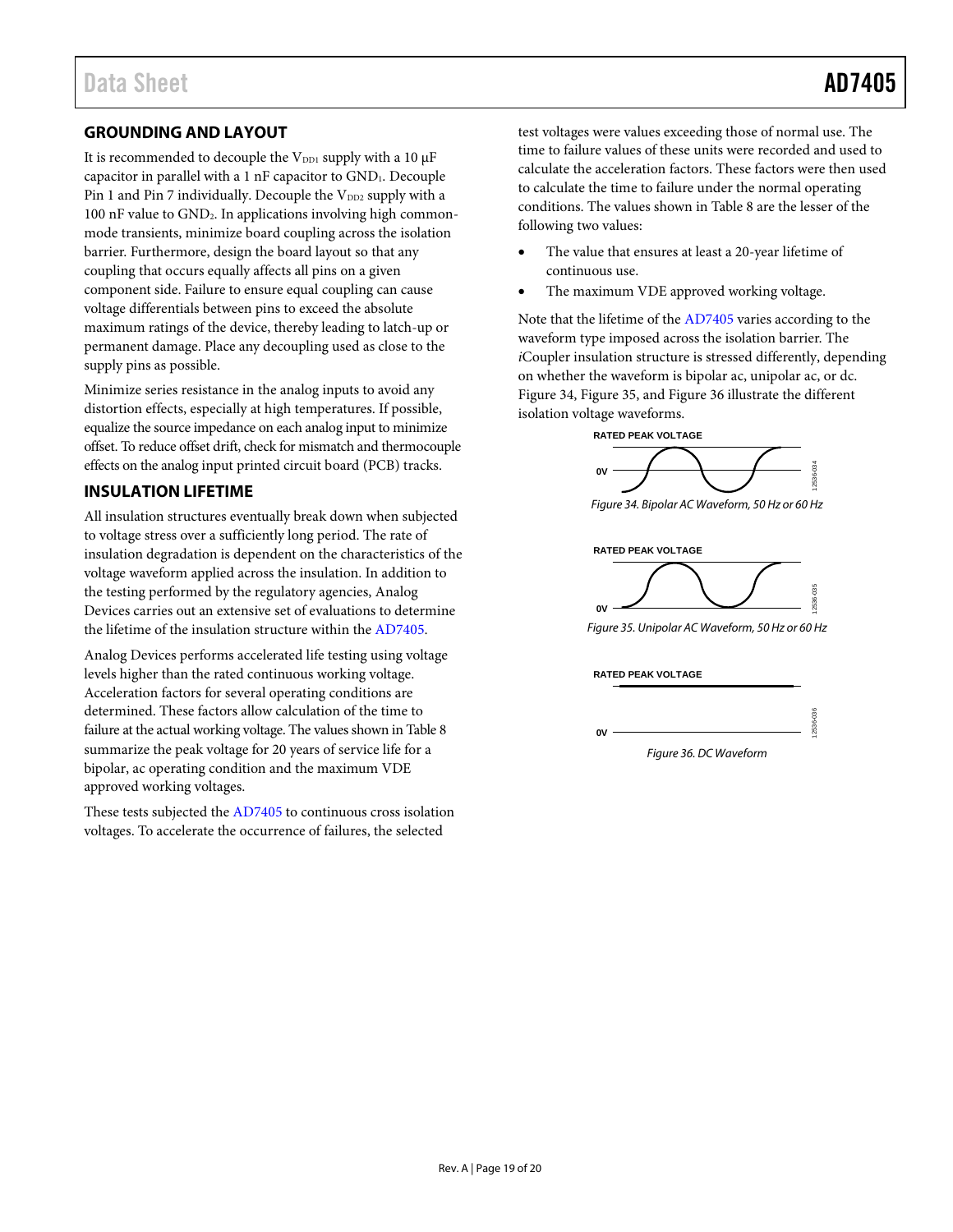### <span id="page-18-0"></span>**GROUNDING AND LAYOUT**

It is recommended to decouple the V<sub>DD1</sub> supply with a 10  $\mu$ F capacitor in parallel with a 1 nF capacitor to GND<sub>1</sub>. Decouple Pin 1 and Pin 7 individually. Decouple the V<sub>DD2</sub> supply with a 100 nF value to GND2. In applications involving high commonmode transients, minimize board coupling across the isolation barrier. Furthermore, design the board layout so that any coupling that occurs equally affects all pins on a given component side. Failure to ensure equal coupling can cause voltage differentials between pins to exceed the absolute maximum ratings of the device, thereby leading to latch-up or permanent damage. Place any decoupling used as close to the supply pins as possible.

Minimize series resistance in the analog inputs to avoid any distortion effects, especially at high temperatures. If possible, equalize the source impedance on each analog input to minimize offset. To reduce offset drift, check for mismatch and thermocouple effects on the analog input printed circuit board (PCB) tracks.

### <span id="page-18-1"></span>**INSULATION LIFETIME**

All insulation structures eventually break down when subjected to voltage stress over a sufficiently long period. The rate of insulation degradation is dependent on the characteristics of the voltage waveform applied across the insulation. In addition to the testing performed by the regulatory agencies, Analog Devices carries out an extensive set of evaluations to determine the lifetime of the insulation structure within the [AD7405.](http://www.analog.com/AD7405?doc=AD7405.pdf) 

Analog Devices performs accelerated life testing using voltage levels higher than the rated continuous working voltage. Acceleration factors for several operating conditions are determined. These factors allow calculation of the time to failure at the actual working voltage. The values shown i[n Table 8](#page-6-2) summarize the peak voltage for 20 years of service life for a bipolar, ac operating condition and the maximum VDE approved working voltages.

These tests subjected th[e AD7405](http://www.analog.com/AD7405?doc=AD7405.pdf) to continuous cross isolation voltages. To accelerate the occurrence of failures, the selected

test voltages were values exceeding those of normal use. The time to failure values of these units were recorded and used to calculate the acceleration factors. These factors were then used to calculate the time to failure under the normal operating conditions. The values shown in [Table 8](#page-6-2) are the lesser of the following two values:

- The value that ensures at least a 20-year lifetime of continuous use.
- The maximum VDE approved working voltage.

Note that the lifetime of the [AD7405](http://www.analog.com/AD7405?doc=AD7405.pdf) varies according to the waveform type imposed across the isolation barrier. The *i*Coupler insulation structure is stressed differently, depending on whether the waveform is bipolar ac, unipolar ac, or dc. [Figure 34,](#page-18-2) [Figure 35,](#page-18-3) an[d Figure 36](#page-18-4) illustrate the different isolation voltage waveforms.

**RATED PEAK VOLTAGE**



<span id="page-18-2"></span>*Figure 34. Bipolar AC Waveform, 50 Hz or 60 Hz* 



<span id="page-18-3"></span>*Figure 35. Unipolar AC Waveform, 50 Hz or 60 Hz* 

**RATED PEAK VOLTAGE**

<span id="page-18-4"></span>

| O٧ |  |
|----|--|

*Figure 36. DC Waveform*